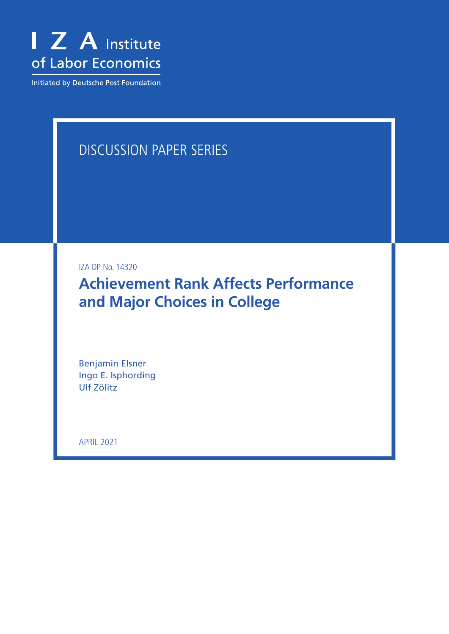

Initiated by Deutsche Post Foundation

# DISCUSSION PAPER SERIES

IZA DP No. 14320

**Achievement Rank Affects Performance and Major Choices in College**

Benjamin Elsner Ingo E. Isphording Ulf Zölitz

APRIL 2021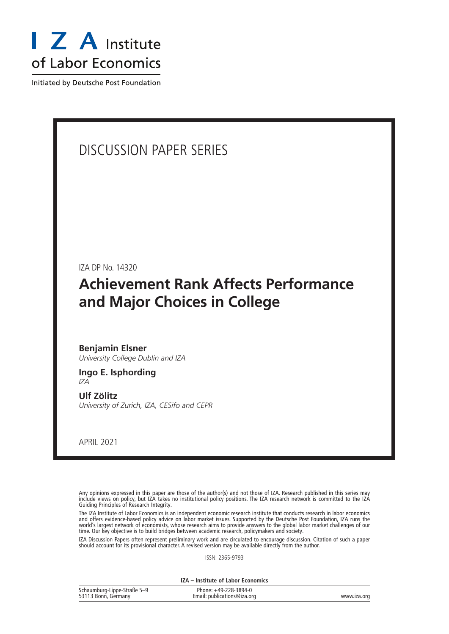

Initiated by Deutsche Post Foundation

# DISCUSSION PAPER SERIES

IZA DP No. 14320

# **Achievement Rank Affects Performance and Major Choices in College**

# **Benjamin Elsner** *University College Dublin and IZA*

# **Ingo E. Isphording** *IZA*

**Ulf Zölitz** *University of Zurich, IZA, CESifo and CEPR*

APRIL 2021

Any opinions expressed in this paper are those of the author(s) and not those of IZA. Research published in this series may include views on policy, but IZA takes no institutional policy positions. The IZA research network is committed to the IZA Guiding Principles of Research Integrity.

The IZA Institute of Labor Economics is an independent economic research institute that conducts research in labor economics and offers evidence-based policy advice on labor market issues. Supported by the Deutsche Post Foundation, IZA runs the world's largest network of economists, whose research aims to provide answers to the global labor market challenges of our time. Our key objective is to build bridges between academic research, policymakers and society.

IZA Discussion Papers often represent preliminary work and are circulated to encourage discussion. Citation of such a paper should account for its provisional character. A revised version may be available directly from the author.

ISSN: 2365-9793

**IZA – Institute of Labor Economics**

| Schaumburg-Lippe-Straße 5-9 | Phone: +49-228-3894-0       |             |
|-----------------------------|-----------------------------|-------------|
| 53113 Bonn, Germany         | Email: publications@iza.org | www.iza.org |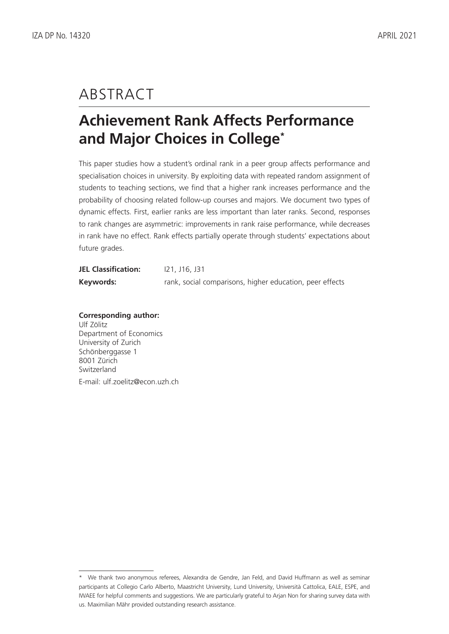# ABSTRACT

# **Achievement Rank Affects Performance and Major Choices in College\***

This paper studies how a student's ordinal rank in a peer group affects performance and specialisation choices in university. By exploiting data with repeated random assignment of students to teaching sections, we find that a higher rank increases performance and the probability of choosing related follow-up courses and majors. We document two types of dynamic effects. First, earlier ranks are less important than later ranks. Second, responses to rank changes are asymmetric: improvements in rank raise performance, while decreases in rank have no effect. Rank effects partially operate through students' expectations about future grades.

| <b>JEL Classification:</b> | <u>121, J16, J31</u>                                     |
|----------------------------|----------------------------------------------------------|
| Keywords:                  | rank, social comparisons, higher education, peer effects |

**Corresponding author:** Ulf Zölitz Department of Economics University of Zurich Schönberggasse 1 8001 Zürich Switzerland E-mail: ulf.zoelitz@econ.uzh.ch

<sup>\*</sup> We thank two anonymous referees, Alexandra de Gendre, Jan Feld, and David Huffmann as well as seminar participants at Collegio Carlo Alberto, Maastricht University, Lund University, Università Cattolica, EALE, ESPE, and IWAEE for helpful comments and suggestions. We are particularly grateful to Arjan Non for sharing survey data with us. Maximilian Mähr provided outstanding research assistance.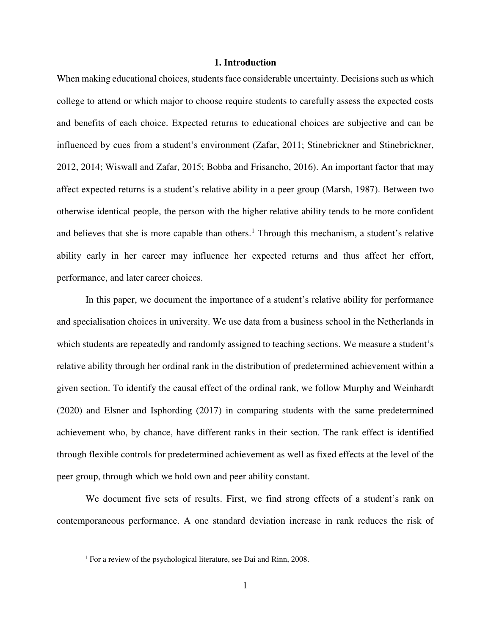# **1. Introduction**

When making educational choices, students face considerable uncertainty. Decisions such as which college to attend or which major to choose require students to carefully assess the expected costs and benefits of each choice. Expected returns to educational choices are subjective and can be influenced by cues from a student's environment (Zafar, 2011; Stinebrickner and Stinebrickner, 2012, 2014; Wiswall and Zafar, 2015; Bobba and Frisancho, 2016). An important factor that may affect expected returns is a student's relative ability in a peer group (Marsh, 1987). Between two otherwise identical people, the person with the higher relative ability tends to be more confident and believes that she is more capable than others.<sup>1</sup> Through this mechanism, a student's relative ability early in her career may influence her expected returns and thus affect her effort, performance, and later career choices.

In this paper, we document the importance of a student's relative ability for performance and specialisation choices in university. We use data from a business school in the Netherlands in which students are repeatedly and randomly assigned to teaching sections. We measure a student's relative ability through her ordinal rank in the distribution of predetermined achievement within a given section. To identify the causal effect of the ordinal rank, we follow Murphy and Weinhardt (2020) and Elsner and Isphording (2017) in comparing students with the same predetermined achievement who, by chance, have different ranks in their section. The rank effect is identified through flexible controls for predetermined achievement as well as fixed effects at the level of the peer group, through which we hold own and peer ability constant.

We document five sets of results. First, we find strong effects of a student's rank on contemporaneous performance. A one standard deviation increase in rank reduces the risk of

<sup>&</sup>lt;sup>1</sup> For a review of the psychological literature, see Dai and Rinn, 2008.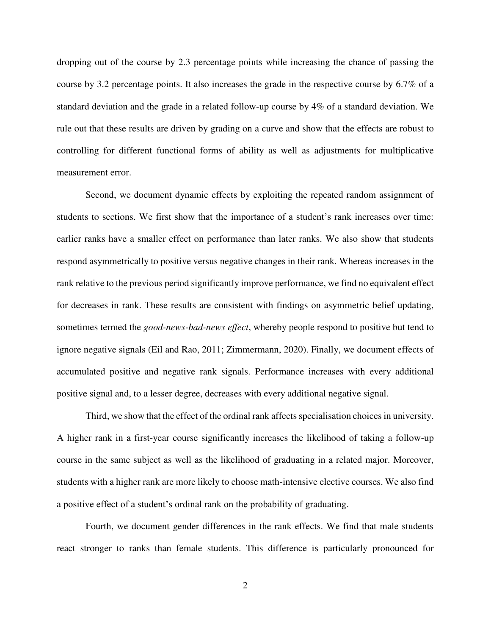dropping out of the course by 2.3 percentage points while increasing the chance of passing the course by 3.2 percentage points. It also increases the grade in the respective course by 6.7% of a standard deviation and the grade in a related follow-up course by 4% of a standard deviation. We rule out that these results are driven by grading on a curve and show that the effects are robust to controlling for different functional forms of ability as well as adjustments for multiplicative measurement error.

Second, we document dynamic effects by exploiting the repeated random assignment of students to sections. We first show that the importance of a student's rank increases over time: earlier ranks have a smaller effect on performance than later ranks. We also show that students respond asymmetrically to positive versus negative changes in their rank. Whereas increases in the rank relative to the previous period significantly improve performance, we find no equivalent effect for decreases in rank. These results are consistent with findings on asymmetric belief updating, sometimes termed the *good-news-bad-news effect*, whereby people respond to positive but tend to ignore negative signals (Eil and Rao, 2011; Zimmermann, 2020). Finally, we document effects of accumulated positive and negative rank signals. Performance increases with every additional positive signal and, to a lesser degree, decreases with every additional negative signal.

Third, we show that the effect of the ordinal rank affects specialisation choices in university. A higher rank in a first-year course significantly increases the likelihood of taking a follow-up course in the same subject as well as the likelihood of graduating in a related major. Moreover, students with a higher rank are more likely to choose math-intensive elective courses. We also find a positive effect of a student's ordinal rank on the probability of graduating.

Fourth, we document gender differences in the rank effects. We find that male students react stronger to ranks than female students. This difference is particularly pronounced for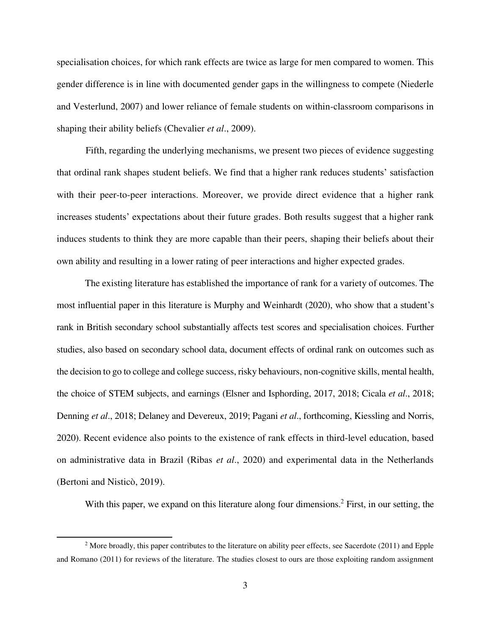specialisation choices, for which rank effects are twice as large for men compared to women. This gender difference is in line with documented gender gaps in the willingness to compete (Niederle and Vesterlund, 2007) and lower reliance of female students on within-classroom comparisons in shaping their ability beliefs (Chevalier *et al*., 2009).

Fifth, regarding the underlying mechanisms, we present two pieces of evidence suggesting that ordinal rank shapes student beliefs. We find that a higher rank reduces students' satisfaction with their peer-to-peer interactions. Moreover, we provide direct evidence that a higher rank increases students' expectations about their future grades. Both results suggest that a higher rank induces students to think they are more capable than their peers, shaping their beliefs about their own ability and resulting in a lower rating of peer interactions and higher expected grades.

The existing literature has established the importance of rank for a variety of outcomes. The most influential paper in this literature is Murphy and Weinhardt (2020), who show that a student's rank in British secondary school substantially affects test scores and specialisation choices. Further studies, also based on secondary school data, document effects of ordinal rank on outcomes such as the decision to go to college and college success, risky behaviours, non-cognitive skills, mental health, the choice of STEM subjects, and earnings (Elsner and Isphording, 2017, 2018; Cicala *et al*., 2018; Denning *et al*., 2018; Delaney and Devereux, 2019; Pagani *et al*., forthcoming, Kiessling and Norris, 2020). Recent evidence also points to the existence of rank effects in third-level education, based on administrative data in Brazil (Ribas *et al*., 2020) and experimental data in the Netherlands (Bertoni and Nisticò, 2019).

With this paper, we expand on this literature along four dimensions.<sup>2</sup> First, in our setting, the

 $2$  More broadly, this paper contributes to the literature on ability peer effects, see Sacerdote (2011) and Epple and Romano (2011) for reviews of the literature. The studies closest to ours are those exploiting random assignment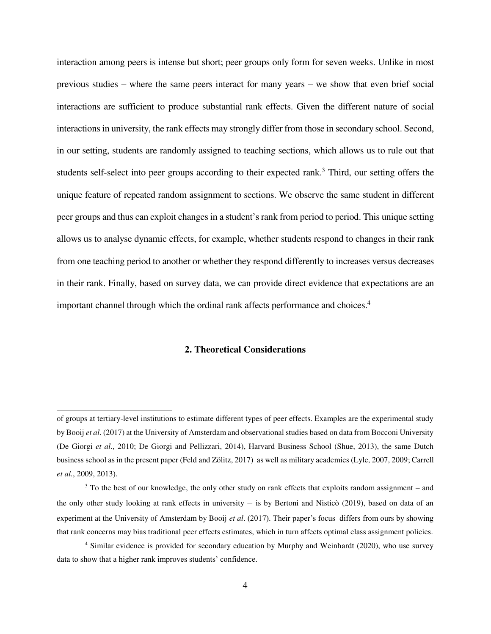interaction among peers is intense but short; peer groups only form for seven weeks. Unlike in most previous studies – where the same peers interact for many years – we show that even brief social interactions are sufficient to produce substantial rank effects. Given the different nature of social interactions in university, the rank effects may strongly differ from those in secondary school. Second, in our setting, students are randomly assigned to teaching sections, which allows us to rule out that students self-select into peer groups according to their expected rank.<sup>3</sup> Third, our setting offers the unique feature of repeated random assignment to sections. We observe the same student in different peer groups and thus can exploit changes in a student's rank from period to period. This unique setting allows us to analyse dynamic effects, for example, whether students respond to changes in their rank from one teaching period to another or whether they respond differently to increases versus decreases in their rank. Finally, based on survey data, we can provide direct evidence that expectations are an important channel through which the ordinal rank affects performance and choices.<sup>4</sup>

# **2. Theoretical Considerations**

 $\overline{a}$ 

of groups at tertiary-level institutions to estimate different types of peer effects. Examples are the experimental study by Booij *et al*. (2017) at the University of Amsterdam and observational studies based on data from Bocconi University (De Giorgi *et al*., 2010; De Giorgi and Pellizzari, 2014), Harvard Business School (Shue, 2013), the same Dutch business school as in the present paper (Feld and Zölitz, 2017) as well as military academies (Lyle, 2007, 2009; Carrell *et al.*, 2009, 2013).

<sup>&</sup>lt;sup>3</sup> To the best of our knowledge, the only other study on rank effects that exploits random assignment – and the only other study looking at rank effects in university – is by Bertoni and Nisticò (2019), based on data of an experiment at the University of Amsterdam by Booij *et al*. (2017). Their paper's focus differs from ours by showing that rank concerns may bias traditional peer effects estimates, which in turn affects optimal class assignment policies.

<sup>&</sup>lt;sup>4</sup> Similar evidence is provided for secondary education by Murphy and Weinhardt (2020), who use survey data to show that a higher rank improves students' confidence.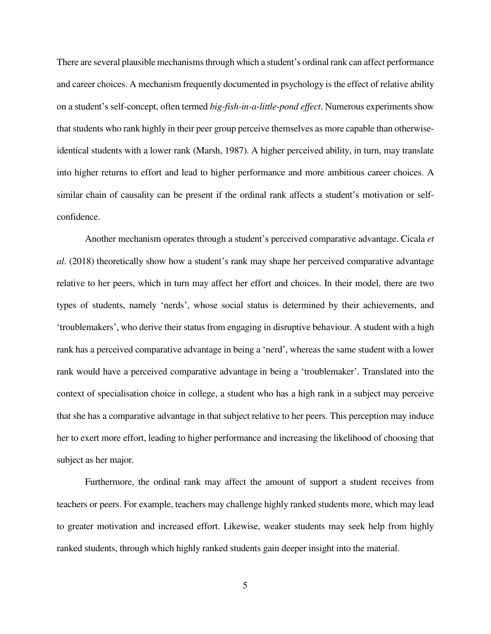There are several plausible mechanisms through which a student's ordinal rank can affect performance and career choices. A mechanism frequently documented in psychology is the effect of relative ability on a student's self-concept, often termed *big-fish-in-a-little-pond effect*. Numerous experiments show that students who rank highly in their peer group perceive themselves as more capable than otherwiseidentical students with a lower rank (Marsh, 1987). A higher perceived ability, in turn, may translate into higher returns to effort and lead to higher performance and more ambitious career choices. A similar chain of causality can be present if the ordinal rank affects a student's motivation or selfconfidence.

Another mechanism operates through a student's perceived comparative advantage. Cicala *et al*. (2018) theoretically show how a student's rank may shape her perceived comparative advantage relative to her peers, which in turn may affect her effort and choices. In their model, there are two types of students, namely 'nerds', whose social status is determined by their achievements, and 'troublemakers', who derive their status from engaging in disruptive behaviour. A student with a high rank has a perceived comparative advantage in being a 'nerd', whereas the same student with a lower rank would have a perceived comparative advantage in being a 'troublemaker'. Translated into the context of specialisation choice in college, a student who has a high rank in a subject may perceive that she has a comparative advantage in that subject relative to her peers. This perception may induce her to exert more effort, leading to higher performance and increasing the likelihood of choosing that subject as her major.

Furthermore, the ordinal rank may affect the amount of support a student receives from teachers or peers. For example, teachers may challenge highly ranked students more, which may lead to greater motivation and increased effort. Likewise, weaker students may seek help from highly ranked students, through which highly ranked students gain deeper insight into the material.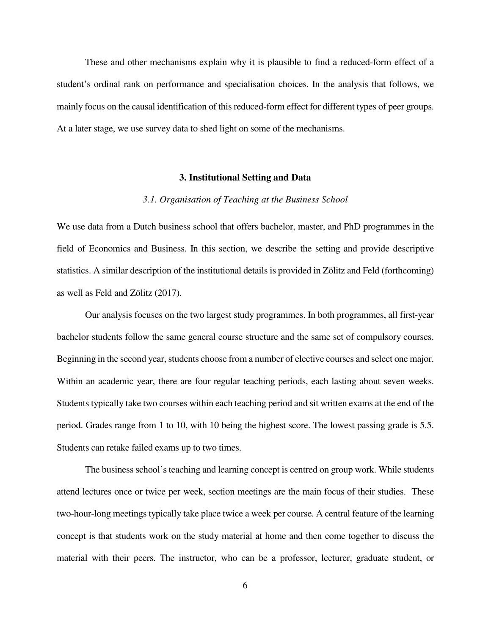These and other mechanisms explain why it is plausible to find a reduced-form effect of a student's ordinal rank on performance and specialisation choices. In the analysis that follows, we mainly focus on the causal identification of this reduced-form effect for different types of peer groups. At a later stage, we use survey data to shed light on some of the mechanisms.

### **3. Institutional Setting and Data**

# *3.1. Organisation of Teaching at the Business School*

We use data from a Dutch business school that offers bachelor, master, and PhD programmes in the field of Economics and Business. In this section, we describe the setting and provide descriptive statistics. A similar description of the institutional details is provided in Zölitz and Feld (forthcoming) as well as Feld and Zölitz (2017).

Our analysis focuses on the two largest study programmes. In both programmes, all first-year bachelor students follow the same general course structure and the same set of compulsory courses. Beginning in the second year, students choose from a number of elective courses and select one major. Within an academic year, there are four regular teaching periods, each lasting about seven weeks. Students typically take two courses within each teaching period and sit written exams at the end of the period. Grades range from 1 to 10, with 10 being the highest score. The lowest passing grade is 5.5. Students can retake failed exams up to two times.

The business school's teaching and learning concept is centred on group work. While students attend lectures once or twice per week, section meetings are the main focus of their studies. These two-hour-long meetings typically take place twice a week per course. A central feature of the learning concept is that students work on the study material at home and then come together to discuss the material with their peers. The instructor, who can be a professor, lecturer, graduate student, or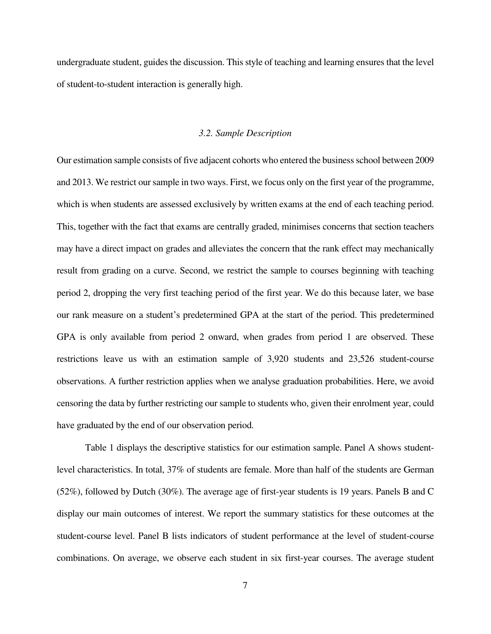undergraduate student, guides the discussion. This style of teaching and learning ensures that the level of student-to-student interaction is generally high.

## *3.2. Sample Description*

Our estimation sample consists of five adjacent cohorts who entered the business school between 2009 and 2013. We restrict our sample in two ways. First, we focus only on the first year of the programme, which is when students are assessed exclusively by written exams at the end of each teaching period. This, together with the fact that exams are centrally graded, minimises concerns that section teachers may have a direct impact on grades and alleviates the concern that the rank effect may mechanically result from grading on a curve. Second, we restrict the sample to courses beginning with teaching period 2, dropping the very first teaching period of the first year. We do this because later, we base our rank measure on a student's predetermined GPA at the start of the period. This predetermined GPA is only available from period 2 onward, when grades from period 1 are observed. These restrictions leave us with an estimation sample of 3,920 students and 23,526 student-course observations. A further restriction applies when we analyse graduation probabilities. Here, we avoid censoring the data by further restricting our sample to students who, given their enrolment year, could have graduated by the end of our observation period.

Table 1 displays the descriptive statistics for our estimation sample. Panel A shows studentlevel characteristics. In total, 37% of students are female. More than half of the students are German (52%), followed by Dutch (30%). The average age of first-year students is 19 years. Panels B and C display our main outcomes of interest. We report the summary statistics for these outcomes at the student-course level. Panel B lists indicators of student performance at the level of student-course combinations. On average, we observe each student in six first-year courses. The average student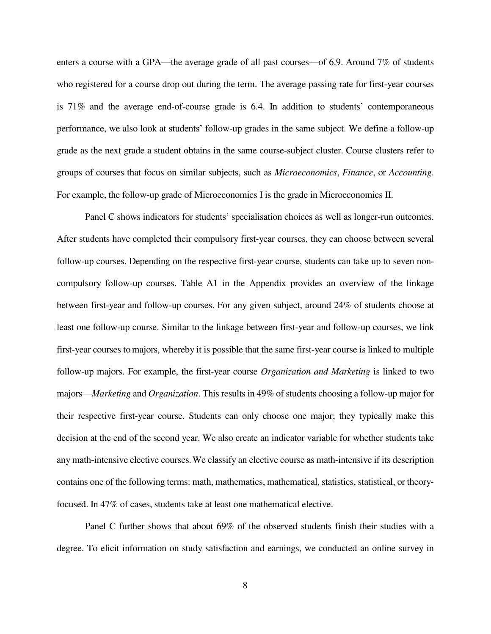enters a course with a GPA—the average grade of all past courses—of 6.9. Around 7% of students who registered for a course drop out during the term. The average passing rate for first-year courses is 71% and the average end-of-course grade is 6.4. In addition to students' contemporaneous performance, we also look at students' follow-up grades in the same subject. We define a follow-up grade as the next grade a student obtains in the same course-subject cluster. Course clusters refer to groups of courses that focus on similar subjects, such as *Microeconomics*, *Finance*, or *Accounting*. For example, the follow-up grade of Microeconomics I is the grade in Microeconomics II.

Panel C shows indicators for students' specialisation choices as well as longer-run outcomes. After students have completed their compulsory first-year courses, they can choose between several follow-up courses. Depending on the respective first-year course, students can take up to seven noncompulsory follow-up courses. Table A1 in the Appendix provides an overview of the linkage between first-year and follow-up courses. For any given subject, around 24% of students choose at least one follow-up course. Similar to the linkage between first-year and follow-up courses, we link first-year courses tomajors, whereby it is possible that the same first-year course is linked to multiple follow-up majors. For example, the first-year course *Organization and Marketing* is linked to two majors—*Marketing* and *Organization*. This results in 49% of students choosing a follow-up major for their respective first-year course. Students can only choose one major; they typically make this decision at the end of the second year. We also create an indicator variable for whether students take any math-intensive elective courses.We classify an elective course as math-intensive if its description contains one of the following terms: math, mathematics, mathematical, statistics, statistical, or theoryfocused. In 47% of cases, students take at least one mathematical elective.

Panel C further shows that about 69% of the observed students finish their studies with a degree. To elicit information on study satisfaction and earnings, we conducted an online survey in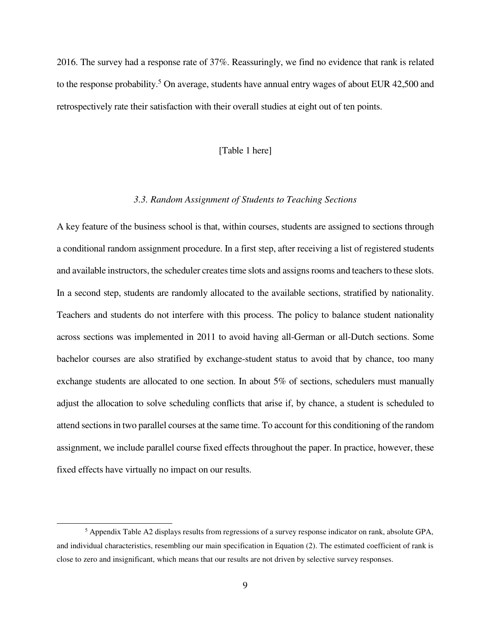2016. The survey had a response rate of 37%. Reassuringly, we find no evidence that rank is related to the response probability.<sup>5</sup> On average, students have annual entry wages of about EUR 42,500 and retrospectively rate their satisfaction with their overall studies at eight out of ten points.

## [Table 1 here]

# *3.3. Random Assignment of Students to Teaching Sections*

A key feature of the business school is that, within courses, students are assigned to sections through a conditional random assignment procedure. In a first step, after receiving a list of registered students and available instructors, the scheduler creates time slots and assigns rooms and teachers to these slots. In a second step, students are randomly allocated to the available sections, stratified by nationality. Teachers and students do not interfere with this process. The policy to balance student nationality across sections was implemented in 2011 to avoid having all-German or all-Dutch sections. Some bachelor courses are also stratified by exchange-student status to avoid that by chance, too many exchange students are allocated to one section. In about 5% of sections, schedulers must manually adjust the allocation to solve scheduling conflicts that arise if, by chance, a student is scheduled to attend sections in two parallel courses at the same time. To account for this conditioning of the random assignment, we include parallel course fixed effects throughout the paper. In practice, however, these fixed effects have virtually no impact on our results.

<sup>&</sup>lt;sup>5</sup> Appendix Table A2 displays results from regressions of a survey response indicator on rank, absolute GPA, and individual characteristics, resembling our main specification in Equation (2). The estimated coefficient of rank is close to zero and insignificant, which means that our results are not driven by selective survey responses.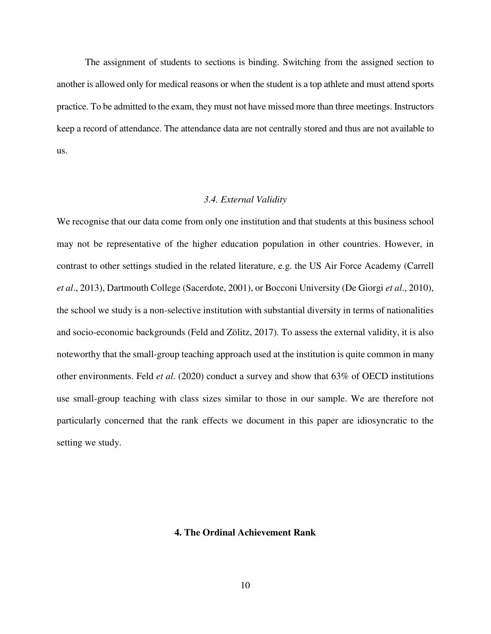The assignment of students to sections is binding. Switching from the assigned section to another is allowed only for medical reasons or when the student is a top athlete and must attend sports practice. To be admitted to the exam, they must not have missed more than three meetings. Instructors keep a record of attendance. The attendance data are not centrally stored and thus are not available to us.

## *3.4. External Validity*

We recognise that our data come from only one institution and that students at this business school may not be representative of the higher education population in other countries. However, in contrast to other settings studied in the related literature, e.g. the US Air Force Academy (Carrell *et al*., 2013), Dartmouth College (Sacerdote, 2001), or Bocconi University (De Giorgi *et al*., 2010), the school we study is a non-selective institution with substantial diversity in terms of nationalities and socio-economic backgrounds (Feld and Zölitz, 2017). To assess the external validity, it is also noteworthy that the small-group teaching approach used at the institution is quite common in many other environments. Feld *et al*. (2020) conduct a survey and show that 63% of OECD institutions use small-group teaching with class sizes similar to those in our sample. We are therefore not particularly concerned that the rank effects we document in this paper are idiosyncratic to the setting we study.

## **4. The Ordinal Achievement Rank**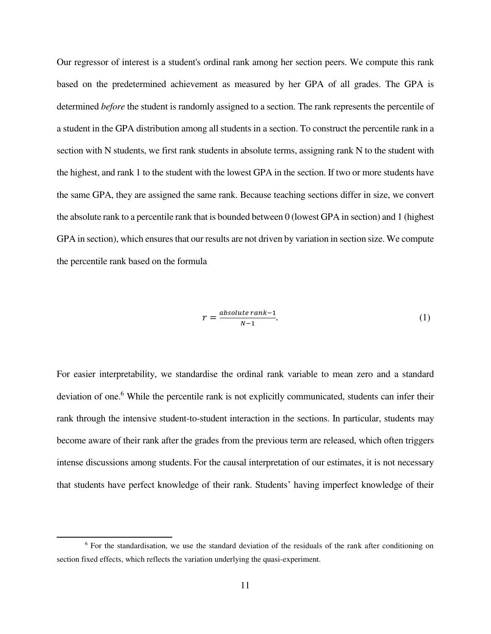Our regressor of interest is a student's ordinal rank among her section peers. We compute this rank based on the predetermined achievement as measured by her GPA of all grades. The GPA is determined *before* the student is randomly assigned to a section. The rank represents the percentile of a student in the GPA distribution among all students in a section. To construct the percentile rank in a section with N students, we first rank students in absolute terms, assigning rank N to the student with the highest, and rank 1 to the student with the lowest GPA in the section. If two or more students have the same GPA, they are assigned the same rank. Because teaching sections differ in size, we convert the absolute rank to a percentile rank that is bounded between 0 (lowest GPA in section) and 1 (highest GPA in section), which ensures that our results are not driven by variation in section size. We compute the percentile rank based on the formula

$$
r = \frac{absolute\ rank - 1}{N - 1}.\tag{1}
$$

For easier interpretability, we standardise the ordinal rank variable to mean zero and a standard deviation of one.<sup>6</sup> While the percentile rank is not explicitly communicated, students can infer their rank through the intensive student-to-student interaction in the sections. In particular, students may become aware of their rank after the grades from the previous term are released, which often triggers intense discussions among students. For the causal interpretation of our estimates, it is not necessary that students have perfect knowledge of their rank. Students' having imperfect knowledge of their

<sup>&</sup>lt;sup>6</sup> For the standardisation, we use the standard deviation of the residuals of the rank after conditioning on section fixed effects, which reflects the variation underlying the quasi-experiment.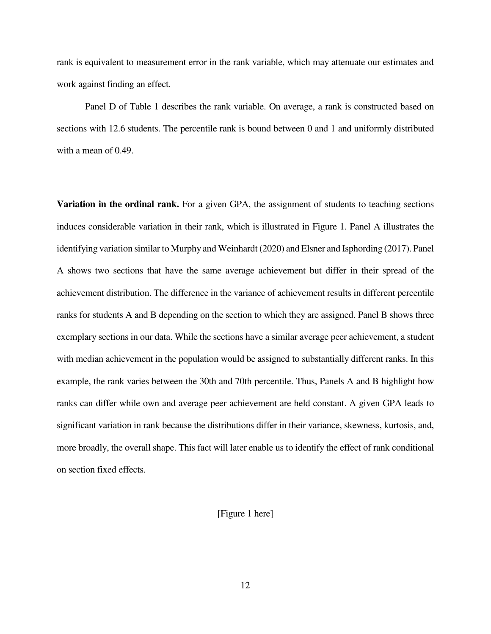rank is equivalent to measurement error in the rank variable, which may attenuate our estimates and work against finding an effect.

Panel D of Table 1 describes the rank variable. On average, a rank is constructed based on sections with 12.6 students. The percentile rank is bound between 0 and 1 and uniformly distributed with a mean of 0.49.

**Variation in the ordinal rank.** For a given GPA, the assignment of students to teaching sections induces considerable variation in their rank, which is illustrated in Figure 1. Panel A illustrates the identifying variation similar to Murphy and Weinhardt (2020) and Elsner and Isphording (2017). Panel A shows two sections that have the same average achievement but differ in their spread of the achievement distribution. The difference in the variance of achievement results in different percentile ranks for students A and B depending on the section to which they are assigned. Panel B shows three exemplary sections in our data. While the sections have a similar average peer achievement, a student with median achievement in the population would be assigned to substantially different ranks. In this example, the rank varies between the 30th and 70th percentile. Thus, Panels A and B highlight how ranks can differ while own and average peer achievement are held constant. A given GPA leads to significant variation in rank because the distributions differ in their variance, skewness, kurtosis, and, more broadly, the overall shape. This fact will later enable us to identify the effect of rank conditional on section fixed effects.

[Figure 1 here]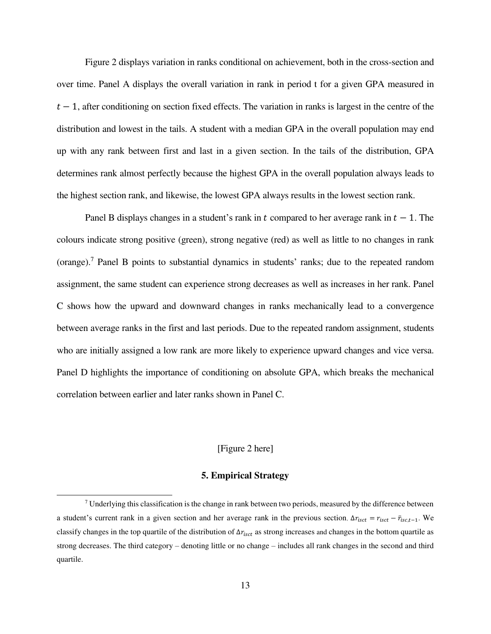Figure 2 displays variation in ranks conditional on achievement, both in the cross-section and over time. Panel A displays the overall variation in rank in period t for a given GPA measured in  $t-1$ , after conditioning on section fixed effects. The variation in ranks is largest in the centre of the distribution and lowest in the tails. A student with a median GPA in the overall population may end up with any rank between first and last in a given section. In the tails of the distribution, GPA determines rank almost perfectly because the highest GPA in the overall population always leads to the highest section rank, and likewise, the lowest GPA always results in the lowest section rank.

Panel B displays changes in a student's rank in t compared to her average rank in  $t - 1$ . The colours indicate strong positive (green), strong negative (red) as well as little to no changes in rank (orange).<sup>7</sup> Panel B points to substantial dynamics in students' ranks; due to the repeated random assignment, the same student can experience strong decreases as well as increases in her rank. Panel C shows how the upward and downward changes in ranks mechanically lead to a convergence between average ranks in the first and last periods. Due to the repeated random assignment, students who are initially assigned a low rank are more likely to experience upward changes and vice versa. Panel D highlights the importance of conditioning on absolute GPA, which breaks the mechanical correlation between earlier and later ranks shown in Panel C.

# [Figure 2 here]

# **5. Empirical Strategy**

 $\overline{a}$ 

 $7$  Underlying this classification is the change in rank between two periods, measured by the difference between a student's current rank in a given section and her average rank in the previous section,  $\Delta r_{isct} = r_{isct} - \bar{r}_{isct-1}$ . We classify changes in the top quartile of the distribution of  $\Delta r_{isct}$  as strong increases and changes in the bottom quartile as strong decreases. The third category – denoting little or no change – includes all rank changes in the second and third quartile.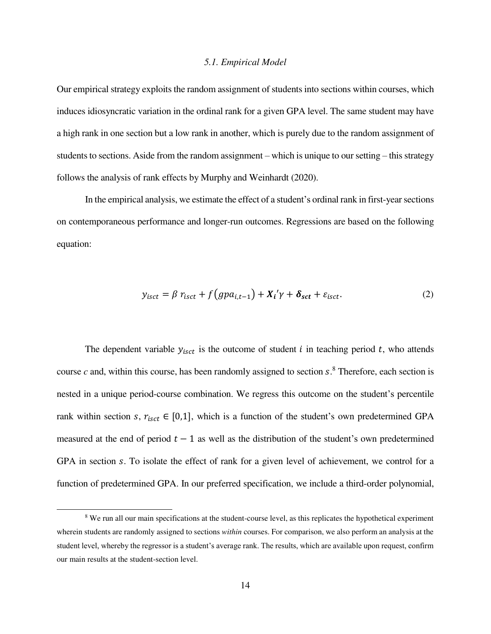#### *5.1. Empirical Model*

Our empirical strategy exploits the random assignment of students into sections within courses, which induces idiosyncratic variation in the ordinal rank for a given GPA level. The same student may have a high rank in one section but a low rank in another, which is purely due to the random assignment of students to sections. Aside from the random assignment – which is unique to our setting – this strategy follows the analysis of rank effects by Murphy and Weinhardt (2020).

In the empirical analysis, we estimate the effect of a student's ordinal rank in first-year sections on contemporaneous performance and longer-run outcomes. Regressions are based on the following equation:

$$
y_{\text{isct}} = \beta r_{\text{isct}} + f\left(\text{g}p a_{i,t-1}\right) + X_i'\gamma + \delta_{\text{sct}} + \varepsilon_{\text{isct}}.\tag{2}
$$

The dependent variable  $y_{i, c t}$  is the outcome of student *i* in teaching period *t*, who attends course  $c$  and, within this course, has been randomly assigned to section  $s$ .<sup>8</sup> Therefore, each section is nested in a unique period-course combination. We regress this outcome on the student's percentile rank within section s,  $r_{isct} \in [0,1]$ , which is a function of the student's own predetermined GPA measured at the end of period  $t - 1$  as well as the distribution of the student's own predetermined GPA in section s. To isolate the effect of rank for a given level of achievement, we control for a function of predetermined GPA. In our preferred specification, we include a third-order polynomial,

<sup>&</sup>lt;sup>8</sup> We run all our main specifications at the student-course level, as this replicates the hypothetical experiment wherein students are randomly assigned to sections *within* courses. For comparison, we also perform an analysis at the student level, whereby the regressor is a student's average rank. The results, which are available upon request, confirm our main results at the student-section level.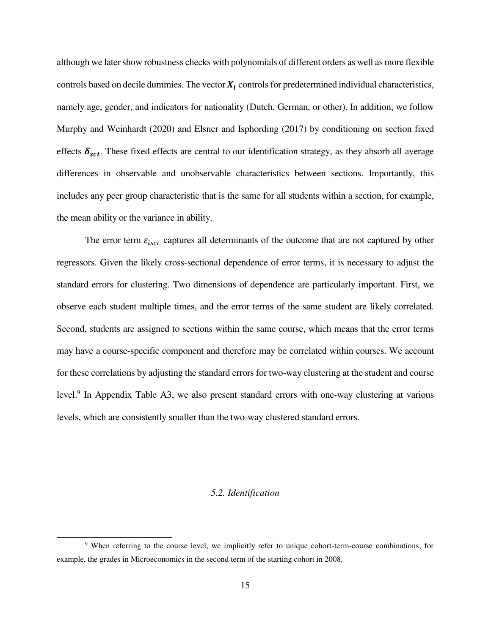although we later show robustness checks with polynomials of different orders as well as more flexible controls based on decile dummies. The vector  $X_i$  controls for predetermined individual characteristics, namely age, gender, and indicators for nationality (Dutch, German, or other). In addition, we follow Murphy and Weinhardt (2020) and Elsner and Isphording (2017) by conditioning on section fixed effects  $\delta_{\text{set}}$ . These fixed effects are central to our identification strategy, as they absorb all average differences in observable and unobservable characteristics between sections. Importantly, this includes any peer group characteristic that is the same for all students within a section, for example, the mean ability or the variance in ability.

The error term  $\varepsilon_{\text{isct}}$  captures all determinants of the outcome that are not captured by other regressors. Given the likely cross-sectional dependence of error terms, it is necessary to adjust the standard errors for clustering. Two dimensions of dependence are particularly important. First, we observe each student multiple times, and the error terms of the same student are likely correlated. Second, students are assigned to sections within the same course, which means that the error terms may have a course-specific component and therefore may be correlated within courses. We account for these correlations by adjusting the standard errors for two-way clustering at the student and course level.<sup>9</sup> In Appendix Table A3, we also present standard errors with one-way clustering at various levels, which are consistently smaller than the two-way clustered standard errors.

# *5.2. Identification*

<sup>&</sup>lt;sup>9</sup> When referring to the course level, we implicitly refer to unique cohort-term-course combinations; for example, the grades in Microeconomics in the second term of the starting cohort in 2008.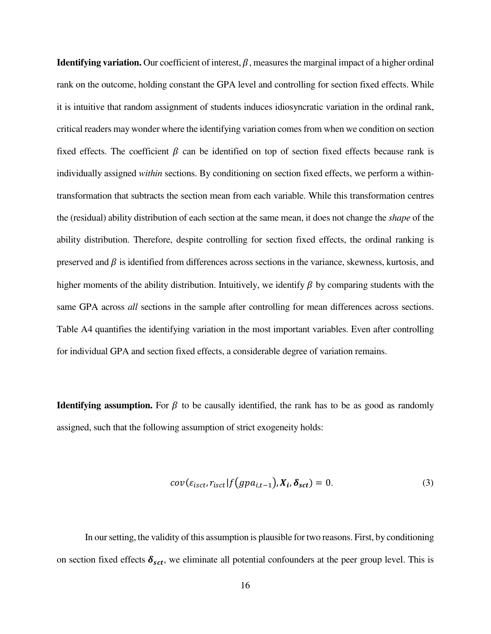**Identifying variation.** Our coefficient of interest,  $\beta$ , measures the marginal impact of a higher ordinal rank on the outcome, holding constant the GPA level and controlling for section fixed effects. While it is intuitive that random assignment of students induces idiosyncratic variation in the ordinal rank, critical readers may wonder where the identifying variation comes from when we condition on section fixed effects. The coefficient  $\beta$  can be identified on top of section fixed effects because rank is individually assigned *within* sections. By conditioning on section fixed effects, we perform a withintransformation that subtracts the section mean from each variable. While this transformation centres the (residual) ability distribution of each section at the same mean, it does not change the *shape* of the ability distribution. Therefore, despite controlling for section fixed effects, the ordinal ranking is preserved and  $\beta$  is identified from differences across sections in the variance, skewness, kurtosis, and higher moments of the ability distribution. Intuitively, we identify  $\beta$  by comparing students with the same GPA across *all* sections in the sample after controlling for mean differences across sections. Table A4 quantifies the identifying variation in the most important variables. Even after controlling for individual GPA and section fixed effects, a considerable degree of variation remains.

**Identifying assumption.** For  $\beta$  to be causally identified, the rank has to be as good as randomly assigned, such that the following assumption of strict exogeneity holds:

$$
cov(\varepsilon_{isct}, r_{isct}|f(gpa_{i,t-1}), X_i, \delta_{sct}) = 0.
$$
\n(3)

In our setting, the validity of this assumption is plausible for two reasons. First, by conditioning on section fixed effects  $\delta_{sct}$ , we eliminate all potential confounders at the peer group level. This is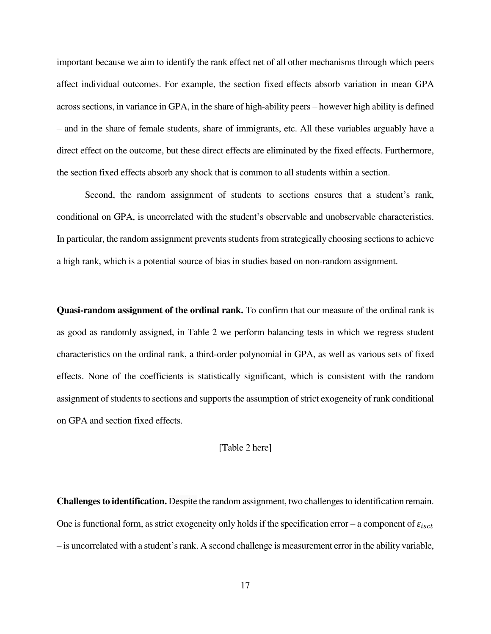important because we aim to identify the rank effect net of all other mechanisms through which peers affect individual outcomes. For example, the section fixed effects absorb variation in mean GPA across sections, in variance in GPA, in the share of high-ability peers – however high ability is defined – and in the share of female students, share of immigrants, etc. All these variables arguably have a direct effect on the outcome, but these direct effects are eliminated by the fixed effects. Furthermore, the section fixed effects absorb any shock that is common to all students within a section.

Second, the random assignment of students to sections ensures that a student's rank, conditional on GPA, is uncorrelated with the student's observable and unobservable characteristics. In particular, the random assignment prevents students from strategically choosing sections to achieve a high rank, which is a potential source of bias in studies based on non-random assignment.

**Quasi-random assignment of the ordinal rank.** To confirm that our measure of the ordinal rank is as good as randomly assigned, in Table 2 we perform balancing tests in which we regress student characteristics on the ordinal rank, a third-order polynomial in GPA, as well as various sets of fixed effects. None of the coefficients is statistically significant, which is consistent with the random assignment of students to sections and supports the assumption of strict exogeneity of rank conditional on GPA and section fixed effects.

# [Table 2 here]

**Challenges to identification.** Despite the random assignment, two challenges to identification remain. One is functional form, as strict exogeneity only holds if the specification error – a component of  $\varepsilon_{i, sct}$ – is uncorrelated with a student's rank. A second challenge is measurement error in the ability variable,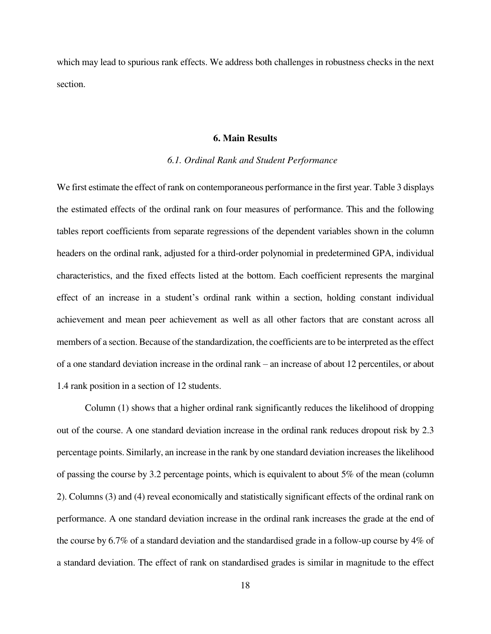which may lead to spurious rank effects. We address both challenges in robustness checks in the next section.

#### **6. Main Results**

## *6.1. Ordinal Rank and Student Performance*

We first estimate the effect of rank on contemporaneous performance in the first year. Table 3 displays the estimated effects of the ordinal rank on four measures of performance. This and the following tables report coefficients from separate regressions of the dependent variables shown in the column headers on the ordinal rank, adjusted for a third-order polynomial in predetermined GPA, individual characteristics, and the fixed effects listed at the bottom. Each coefficient represents the marginal effect of an increase in a student's ordinal rank within a section, holding constant individual achievement and mean peer achievement as well as all other factors that are constant across all members of a section. Because of the standardization, the coefficients are to be interpreted as the effect of a one standard deviation increase in the ordinal rank – an increase of about 12 percentiles, or about 1.4 rank position in a section of 12 students.

Column (1) shows that a higher ordinal rank significantly reduces the likelihood of dropping out of the course. A one standard deviation increase in the ordinal rank reduces dropout risk by 2.3 percentage points. Similarly, an increase in the rank by one standard deviation increases the likelihood of passing the course by 3.2 percentage points, which is equivalent to about 5% of the mean (column 2). Columns (3) and (4) reveal economically and statistically significant effects of the ordinal rank on performance. A one standard deviation increase in the ordinal rank increases the grade at the end of the course by 6.7% of a standard deviation and the standardised grade in a follow-up course by 4% of a standard deviation. The effect of rank on standardised grades is similar in magnitude to the effect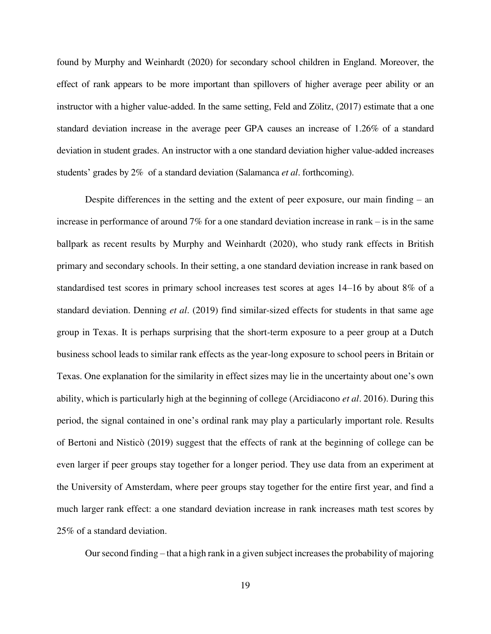found by Murphy and Weinhardt (2020) for secondary school children in England. Moreover, the effect of rank appears to be more important than spillovers of higher average peer ability or an instructor with a higher value-added. In the same setting, Feld and Zölitz, (2017) estimate that a one standard deviation increase in the average peer GPA causes an increase of 1.26% of a standard deviation in student grades. An instructor with a one standard deviation higher value-added increases students' grades by 2% of a standard deviation (Salamanca *et al*. forthcoming).

Despite differences in the setting and the extent of peer exposure, our main finding – an increase in performance of around 7% for a one standard deviation increase in rank – is in the same ballpark as recent results by Murphy and Weinhardt (2020), who study rank effects in British primary and secondary schools. In their setting, a one standard deviation increase in rank based on standardised test scores in primary school increases test scores at ages 14–16 by about 8% of a standard deviation. Denning *et al*. (2019) find similar-sized effects for students in that same age group in Texas. It is perhaps surprising that the short-term exposure to a peer group at a Dutch business school leads to similar rank effects as the year-long exposure to school peers in Britain or Texas. One explanation for the similarity in effect sizes may lie in the uncertainty about one's own ability, which is particularly high at the beginning of college (Arcidiacono *et al*. 2016). During this period, the signal contained in one's ordinal rank may play a particularly important role. Results of Bertoni and Nisticò (2019) suggest that the effects of rank at the beginning of college can be even larger if peer groups stay together for a longer period. They use data from an experiment at the University of Amsterdam, where peer groups stay together for the entire first year, and find a much larger rank effect: a one standard deviation increase in rank increases math test scores by 25% of a standard deviation.

Our second finding – that a high rank in a given subject increases the probability of majoring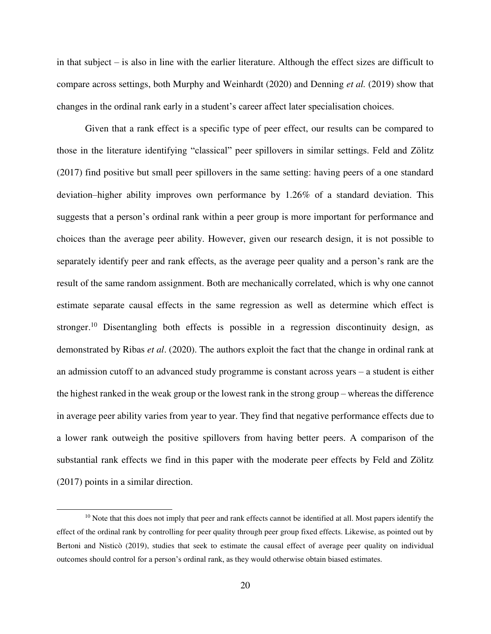in that subject – is also in line with the earlier literature. Although the effect sizes are difficult to compare across settings, both Murphy and Weinhardt (2020) and Denning *et al.* (2019) show that changes in the ordinal rank early in a student's career affect later specialisation choices.

Given that a rank effect is a specific type of peer effect, our results can be compared to those in the literature identifying "classical" peer spillovers in similar settings. Feld and Zölitz (2017) find positive but small peer spillovers in the same setting: having peers of a one standard deviation–higher ability improves own performance by 1.26% of a standard deviation. This suggests that a person's ordinal rank within a peer group is more important for performance and choices than the average peer ability. However, given our research design, it is not possible to separately identify peer and rank effects, as the average peer quality and a person's rank are the result of the same random assignment. Both are mechanically correlated, which is why one cannot estimate separate causal effects in the same regression as well as determine which effect is stronger.<sup>10</sup> Disentangling both effects is possible in a regression discontinuity design, as demonstrated by Ribas *et al*. (2020). The authors exploit the fact that the change in ordinal rank at an admission cutoff to an advanced study programme is constant across years – a student is either the highest ranked in the weak group or the lowest rank in the strong group – whereas the difference in average peer ability varies from year to year. They find that negative performance effects due to a lower rank outweigh the positive spillovers from having better peers. A comparison of the substantial rank effects we find in this paper with the moderate peer effects by Feld and Zölitz (2017) points in a similar direction.

 $10$  Note that this does not imply that peer and rank effects cannot be identified at all. Most papers identify the effect of the ordinal rank by controlling for peer quality through peer group fixed effects. Likewise, as pointed out by Bertoni and Nisticò (2019), studies that seek to estimate the causal effect of average peer quality on individual outcomes should control for a person's ordinal rank, as they would otherwise obtain biased estimates.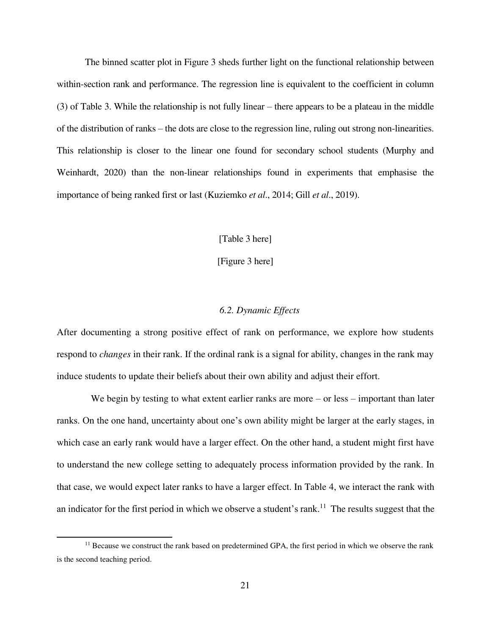The binned scatter plot in Figure 3 sheds further light on the functional relationship between within-section rank and performance. The regression line is equivalent to the coefficient in column (3) of Table 3. While the relationship is not fully linear – there appears to be a plateau in the middle of the distribution of ranks – the dots are close to the regression line, ruling out strong non-linearities. This relationship is closer to the linear one found for secondary school students (Murphy and Weinhardt, 2020) than the non-linear relationships found in experiments that emphasise the importance of being ranked first or last (Kuziemko *et al*., 2014; Gill *et al*., 2019).

### [Table 3 here]

[Figure 3 here]

# *6.2. Dynamic Effects*

After documenting a strong positive effect of rank on performance, we explore how students respond to *changes* in their rank. If the ordinal rank is a signal for ability, changes in the rank may induce students to update their beliefs about their own ability and adjust their effort.

We begin by testing to what extent earlier ranks are more – or less – important than later ranks. On the one hand, uncertainty about one's own ability might be larger at the early stages, in which case an early rank would have a larger effect. On the other hand, a student might first have to understand the new college setting to adequately process information provided by the rank. In that case, we would expect later ranks to have a larger effect. In Table 4, we interact the rank with an indicator for the first period in which we observe a student's rank.<sup>11</sup> The results suggest that the

 $<sup>11</sup>$  Because we construct the rank based on predetermined GPA, the first period in which we observe the rank</sup> is the second teaching period.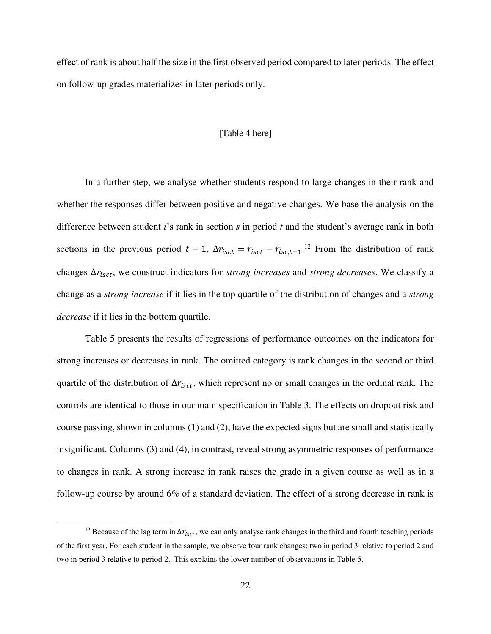effect of rank is about half the size in the first observed period compared to later periods. The effect on follow-up grades materializes in later periods only.

#### [Table 4 here]

In a further step, we analyse whether students respond to large changes in their rank and whether the responses differ between positive and negative changes. We base the analysis on the difference between student *i*'s rank in section *s* in period *t* and the student's average rank in both sections in the previous period  $t-1$ ,  $\Delta r_{isct} = r_{isct} - \bar{r}_{isct-1}$ .<sup>12</sup> From the distribution of rank changes  $\Delta r_{isct}$ , we construct indicators for *strong increases* and *strong decreases*. We classify a change as a *strong increase* if it lies in the top quartile of the distribution of changes and a *strong decrease* if it lies in the bottom quartile.

Table 5 presents the results of regressions of performance outcomes on the indicators for strong increases or decreases in rank. The omitted category is rank changes in the second or third quartile of the distribution of  $\Delta r_{isct}$ , which represent no or small changes in the ordinal rank. The controls are identical to those in our main specification in Table 3. The effects on dropout risk and course passing, shown in columns (1) and (2), have the expected signs but are small and statistically insignificant. Columns (3) and (4), in contrast, reveal strong asymmetric responses of performance to changes in rank. A strong increase in rank raises the grade in a given course as well as in a follow-up course by around 6% of a standard deviation. The effect of a strong decrease in rank is

<sup>&</sup>lt;sup>12</sup> Because of the lag term in  $\Delta r_{isct}$ , we can only analyse rank changes in the third and fourth teaching periods of the first year. For each student in the sample, we observe four rank changes: two in period 3 relative to period 2 and two in period 3 relative to period 2. This explains the lower number of observations in Table 5.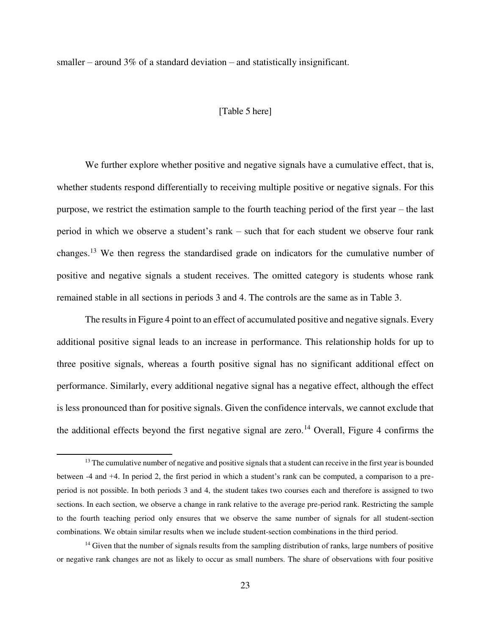smaller – around 3% of a standard deviation – and statistically insignificant.

# [Table 5 here]

We further explore whether positive and negative signals have a cumulative effect, that is, whether students respond differentially to receiving multiple positive or negative signals. For this purpose, we restrict the estimation sample to the fourth teaching period of the first year – the last period in which we observe a student's rank – such that for each student we observe four rank changes.<sup>13</sup> We then regress the standardised grade on indicators for the cumulative number of positive and negative signals a student receives. The omitted category is students whose rank remained stable in all sections in periods 3 and 4. The controls are the same as in Table 3.

The results in Figure 4 point to an effect of accumulated positive and negative signals. Every additional positive signal leads to an increase in performance. This relationship holds for up to three positive signals, whereas a fourth positive signal has no significant additional effect on performance. Similarly, every additional negative signal has a negative effect, although the effect is less pronounced than for positive signals. Given the confidence intervals, we cannot exclude that the additional effects beyond the first negative signal are zero.<sup>14</sup> Overall, Figure 4 confirms the

 $13$  The cumulative number of negative and positive signals that a student can receive in the first year is bounded between -4 and +4. In period 2, the first period in which a student's rank can be computed, a comparison to a preperiod is not possible. In both periods 3 and 4, the student takes two courses each and therefore is assigned to two sections. In each section, we observe a change in rank relative to the average pre-period rank. Restricting the sample to the fourth teaching period only ensures that we observe the same number of signals for all student-section combinations. We obtain similar results when we include student-section combinations in the third period.

<sup>&</sup>lt;sup>14</sup> Given that the number of signals results from the sampling distribution of ranks, large numbers of positive or negative rank changes are not as likely to occur as small numbers. The share of observations with four positive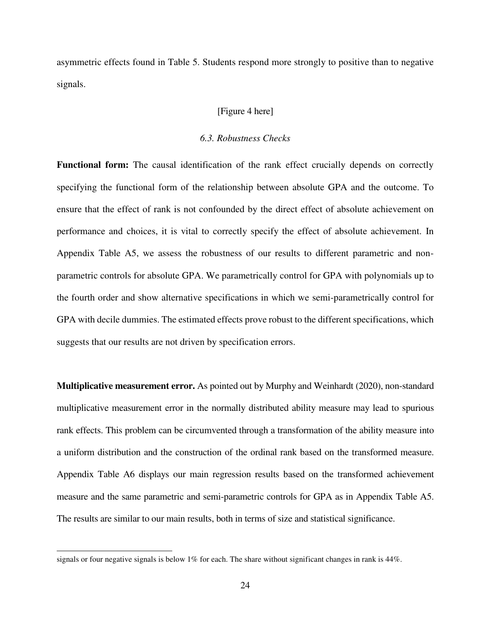asymmetric effects found in Table 5. Students respond more strongly to positive than to negative signals.

# [Figure 4 here]

# *6.3. Robustness Checks*

**Functional form:** The causal identification of the rank effect crucially depends on correctly specifying the functional form of the relationship between absolute GPA and the outcome. To ensure that the effect of rank is not confounded by the direct effect of absolute achievement on performance and choices, it is vital to correctly specify the effect of absolute achievement. In Appendix Table A5, we assess the robustness of our results to different parametric and nonparametric controls for absolute GPA. We parametrically control for GPA with polynomials up to the fourth order and show alternative specifications in which we semi-parametrically control for GPA with decile dummies. The estimated effects prove robust to the different specifications, which suggests that our results are not driven by specification errors.

**Multiplicative measurement error.** As pointed out by Murphy and Weinhardt (2020), non-standard multiplicative measurement error in the normally distributed ability measure may lead to spurious rank effects. This problem can be circumvented through a transformation of the ability measure into a uniform distribution and the construction of the ordinal rank based on the transformed measure. Appendix Table A6 displays our main regression results based on the transformed achievement measure and the same parametric and semi-parametric controls for GPA as in Appendix Table A5. The results are similar to our main results, both in terms of size and statistical significance.

signals or four negative signals is below 1% for each. The share without significant changes in rank is 44%.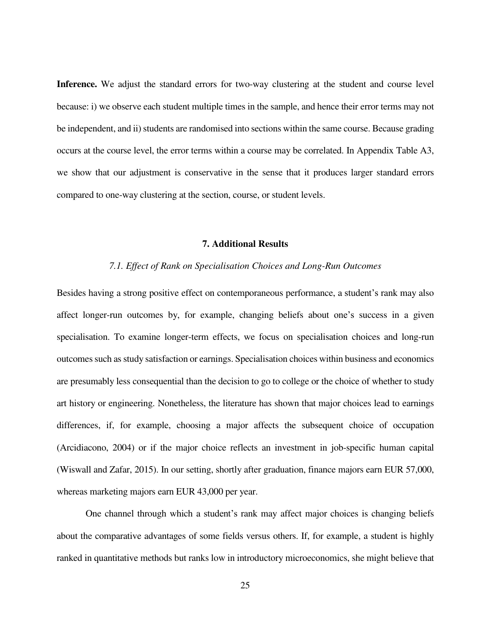**Inference.** We adjust the standard errors for two-way clustering at the student and course level because: i) we observe each student multiple times in the sample, and hence their error terms may not be independent, and ii) students are randomised into sections within the same course. Because grading occurs at the course level, the error terms within a course may be correlated. In Appendix Table A3, we show that our adjustment is conservative in the sense that it produces larger standard errors compared to one-way clustering at the section, course, or student levels.

# **7. Additional Results**

#### *7.1. Effect of Rank on Specialisation Choices and Long-Run Outcomes*

Besides having a strong positive effect on contemporaneous performance, a student's rank may also affect longer-run outcomes by, for example, changing beliefs about one's success in a given specialisation. To examine longer-term effects, we focus on specialisation choices and long-run outcomes such as study satisfaction or earnings. Specialisation choices within business and economics are presumably less consequential than the decision to go to college or the choice of whether to study art history or engineering. Nonetheless, the literature has shown that major choices lead to earnings differences, if, for example, choosing a major affects the subsequent choice of occupation (Arcidiacono, 2004) or if the major choice reflects an investment in job-specific human capital (Wiswall and Zafar, 2015). In our setting, shortly after graduation, finance majors earn EUR 57,000, whereas marketing majors earn EUR 43,000 per year.

One channel through which a student's rank may affect major choices is changing beliefs about the comparative advantages of some fields versus others. If, for example, a student is highly ranked in quantitative methods but ranks low in introductory microeconomics, she might believe that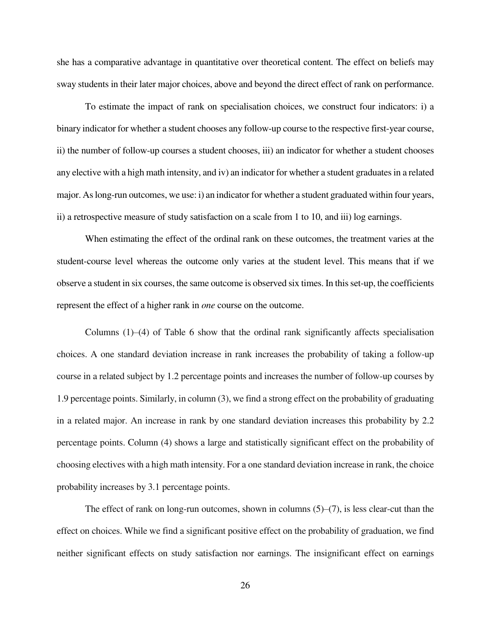she has a comparative advantage in quantitative over theoretical content. The effect on beliefs may sway students in their later major choices, above and beyond the direct effect of rank on performance.

To estimate the impact of rank on specialisation choices, we construct four indicators: i) a binary indicator for whether a student chooses any follow-up course to the respective first-year course, ii) the number of follow-up courses a student chooses, iii) an indicator for whether a student chooses any elective with a high math intensity, and iv) an indicator for whether a student graduates in a related major. As long-run outcomes, we use: i) an indicator for whether a student graduated within four years, ii) a retrospective measure of study satisfaction on a scale from 1 to 10, and iii) log earnings.

When estimating the effect of the ordinal rank on these outcomes, the treatment varies at the student-course level whereas the outcome only varies at the student level. This means that if we observe a student in six courses, the same outcome is observed six times. In this set-up, the coefficients represent the effect of a higher rank in *one* course on the outcome.

Columns  $(1)$ – $(4)$  of Table 6 show that the ordinal rank significantly affects specialisation choices. A one standard deviation increase in rank increases the probability of taking a follow-up course in a related subject by 1.2 percentage points and increases the number of follow-up courses by 1.9 percentage points. Similarly, in column (3), we find a strong effect on the probability of graduating in a related major. An increase in rank by one standard deviation increases this probability by 2.2 percentage points. Column (4) shows a large and statistically significant effect on the probability of choosing electives with a high math intensity. For a one standard deviation increase in rank, the choice probability increases by 3.1 percentage points.

The effect of rank on long-run outcomes, shown in columns  $(5)-(7)$ , is less clear-cut than the effect on choices. While we find a significant positive effect on the probability of graduation, we find neither significant effects on study satisfaction nor earnings. The insignificant effect on earnings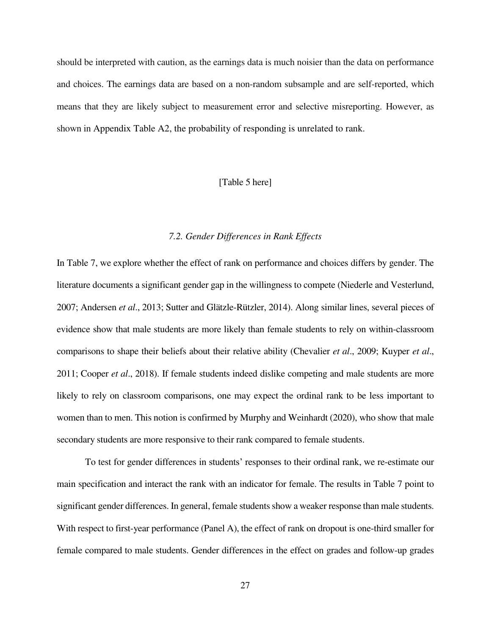should be interpreted with caution, as the earnings data is much noisier than the data on performance and choices. The earnings data are based on a non-random subsample and are self-reported, which means that they are likely subject to measurement error and selective misreporting. However, as shown in Appendix Table A2, the probability of responding is unrelated to rank.

# [Table 5 here]

#### *7.2. Gender Differences in Rank Effects*

In Table 7, we explore whether the effect of rank on performance and choices differs by gender. The literature documents a significant gender gap in the willingness to compete (Niederle and Vesterlund, 2007; Andersen *et al*., 2013; Sutter and Glätzle-Rützler, 2014). Along similar lines, several pieces of evidence show that male students are more likely than female students to rely on within-classroom comparisons to shape their beliefs about their relative ability (Chevalier *et al*., 2009; Kuyper *et al*., 2011; Cooper *et al*., 2018). If female students indeed dislike competing and male students are more likely to rely on classroom comparisons, one may expect the ordinal rank to be less important to women than to men. This notion is confirmed by Murphy and Weinhardt (2020), who show that male secondary students are more responsive to their rank compared to female students.

To test for gender differences in students' responses to their ordinal rank, we re-estimate our main specification and interact the rank with an indicator for female. The results in Table 7 point to significant gender differences. In general, female students show a weaker response than male students. With respect to first-year performance (Panel A), the effect of rank on dropout is one-third smaller for female compared to male students. Gender differences in the effect on grades and follow-up grades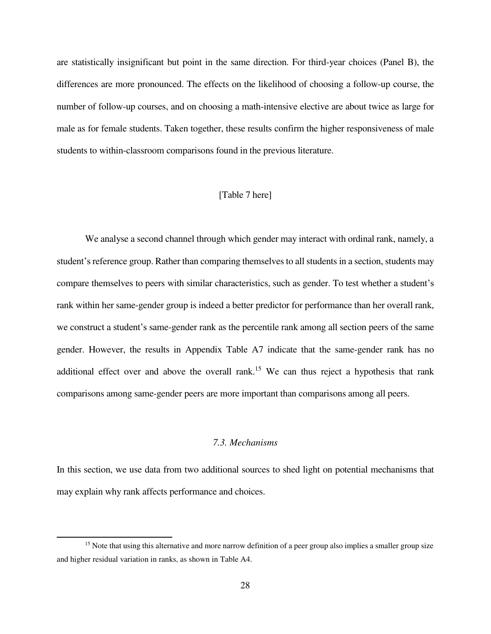are statistically insignificant but point in the same direction. For third-year choices (Panel B), the differences are more pronounced. The effects on the likelihood of choosing a follow-up course, the number of follow-up courses, and on choosing a math-intensive elective are about twice as large for male as for female students. Taken together, these results confirm the higher responsiveness of male students to within-classroom comparisons found in the previous literature.

# [Table 7 here]

We analyse a second channel through which gender may interact with ordinal rank, namely, a student's reference group. Rather than comparing themselves to all students in a section, students may compare themselves to peers with similar characteristics, such as gender. To test whether a student's rank within her same-gender group is indeed a better predictor for performance than her overall rank, we construct a student's same-gender rank as the percentile rank among all section peers of the same gender. However, the results in Appendix Table A7 indicate that the same-gender rank has no additional effect over and above the overall rank.<sup>15</sup> We can thus reject a hypothesis that rank comparisons among same-gender peers are more important than comparisons among all peers.

# *7.3. Mechanisms*

In this section, we use data from two additional sources to shed light on potential mechanisms that may explain why rank affects performance and choices.

<sup>&</sup>lt;sup>15</sup> Note that using this alternative and more narrow definition of a peer group also implies a smaller group size and higher residual variation in ranks, as shown in Table A4.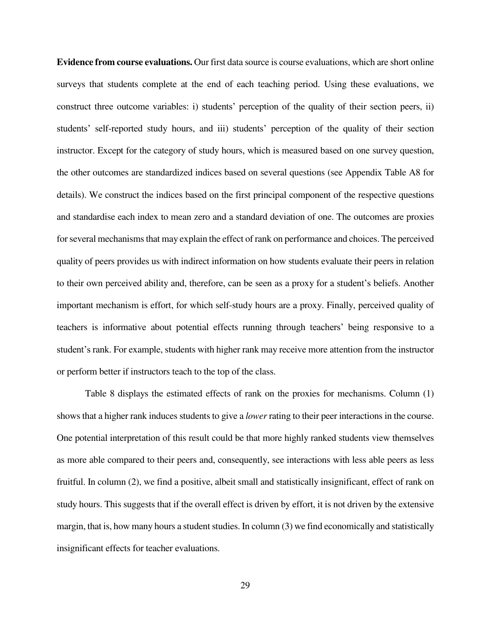**Evidence from course evaluations.** Our first data source is course evaluations, which are short online surveys that students complete at the end of each teaching period. Using these evaluations, we construct three outcome variables: i) students' perception of the quality of their section peers, ii) students' self-reported study hours, and iii) students' perception of the quality of their section instructor. Except for the category of study hours, which is measured based on one survey question, the other outcomes are standardized indices based on several questions (see Appendix Table A8 for details). We construct the indices based on the first principal component of the respective questions and standardise each index to mean zero and a standard deviation of one. The outcomes are proxies for several mechanisms that may explain the effect of rank on performance and choices. The perceived quality of peers provides us with indirect information on how students evaluate their peers in relation to their own perceived ability and, therefore, can be seen as a proxy for a student's beliefs. Another important mechanism is effort, for which self-study hours are a proxy. Finally, perceived quality of teachers is informative about potential effects running through teachers' being responsive to a student's rank. For example, students with higher rank may receive more attention from the instructor or perform better if instructors teach to the top of the class.

Table 8 displays the estimated effects of rank on the proxies for mechanisms. Column (1) shows that a higher rank induces students to give a *lower* rating to their peer interactions in the course. One potential interpretation of this result could be that more highly ranked students view themselves as more able compared to their peers and, consequently, see interactions with less able peers as less fruitful. In column (2), we find a positive, albeit small and statistically insignificant, effect of rank on study hours. This suggests that if the overall effect is driven by effort, it is not driven by the extensive margin, that is, how many hours a student studies. In column (3) we find economically and statistically insignificant effects for teacher evaluations.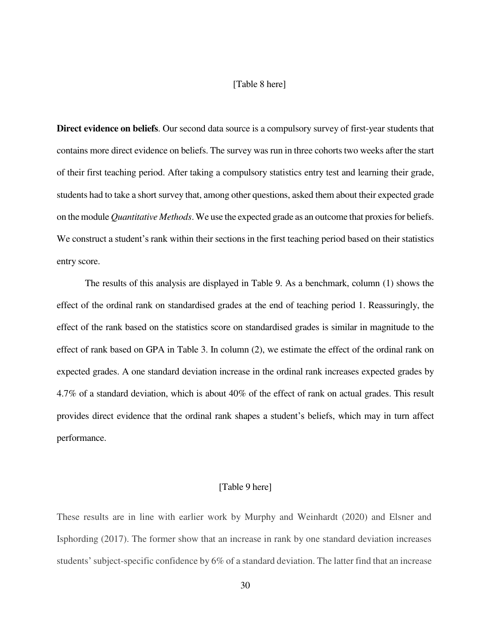# [Table 8 here]

**Direct evidence on beliefs**. Our second data source is a compulsory survey of first-year students that contains more direct evidence on beliefs. The survey was run in three cohorts two weeks after the start of their first teaching period. After taking a compulsory statistics entry test and learning their grade, students had to take a short survey that, among other questions, asked them about their expected grade on the module *Quantitative Methods*. We use the expected grade as an outcome that proxies for beliefs. We construct a student's rank within their sections in the first teaching period based on their statistics entry score.

The results of this analysis are displayed in Table 9. As a benchmark, column (1) shows the effect of the ordinal rank on standardised grades at the end of teaching period 1. Reassuringly, the effect of the rank based on the statistics score on standardised grades is similar in magnitude to the effect of rank based on GPA in Table 3. In column (2), we estimate the effect of the ordinal rank on expected grades. A one standard deviation increase in the ordinal rank increases expected grades by 4.7% of a standard deviation, which is about 40% of the effect of rank on actual grades. This result provides direct evidence that the ordinal rank shapes a student's beliefs, which may in turn affect performance.

# [Table 9 here]

These results are in line with earlier work by Murphy and Weinhardt (2020) and Elsner and Isphording (2017). The former show that an increase in rank by one standard deviation increases students' subject-specific confidence by 6% of a standard deviation. The latter find that an increase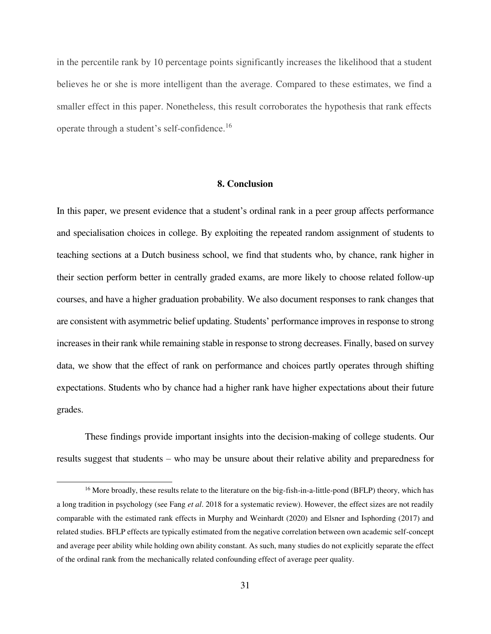in the percentile rank by 10 percentage points significantly increases the likelihood that a student believes he or she is more intelligent than the average. Compared to these estimates, we find a smaller effect in this paper. Nonetheless, this result corroborates the hypothesis that rank effects operate through a student's self-confidence.<sup>16</sup>

### **8. Conclusion**

In this paper, we present evidence that a student's ordinal rank in a peer group affects performance and specialisation choices in college. By exploiting the repeated random assignment of students to teaching sections at a Dutch business school, we find that students who, by chance, rank higher in their section perform better in centrally graded exams, are more likely to choose related follow-up courses, and have a higher graduation probability. We also document responses to rank changes that are consistent with asymmetric belief updating. Students' performance improves in response to strong increases in their rank while remaining stable in response to strong decreases. Finally, based on survey data, we show that the effect of rank on performance and choices partly operates through shifting expectations. Students who by chance had a higher rank have higher expectations about their future grades.

These findings provide important insights into the decision-making of college students. Our results suggest that students – who may be unsure about their relative ability and preparedness for

<sup>&</sup>lt;sup>16</sup> More broadly, these results relate to the literature on the big-fish-in-a-little-pond (BFLP) theory, which has a long tradition in psychology (see Fang *et al*. 2018 for a systematic review). However, the effect sizes are not readily comparable with the estimated rank effects in Murphy and Weinhardt (2020) and Elsner and Isphording (2017) and related studies. BFLP effects are typically estimated from the negative correlation between own academic self-concept and average peer ability while holding own ability constant. As such, many studies do not explicitly separate the effect of the ordinal rank from the mechanically related confounding effect of average peer quality.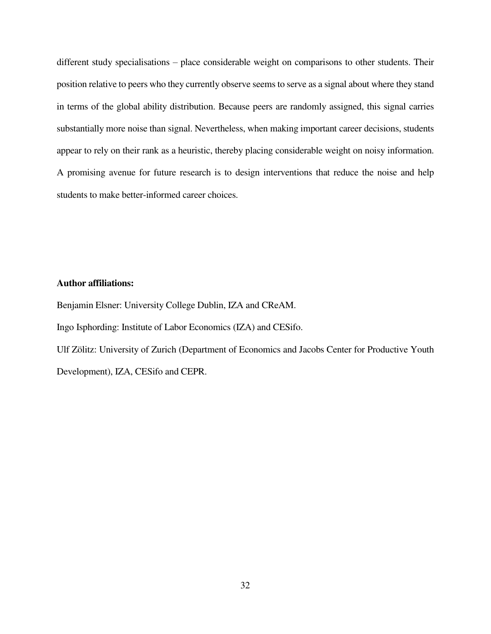different study specialisations – place considerable weight on comparisons to other students. Their position relative to peers who they currently observe seems to serve as a signal about where they stand in terms of the global ability distribution. Because peers are randomly assigned, this signal carries substantially more noise than signal. Nevertheless, when making important career decisions, students appear to rely on their rank as a heuristic, thereby placing considerable weight on noisy information. A promising avenue for future research is to design interventions that reduce the noise and help students to make better-informed career choices.

# **Author affiliations:**

Benjamin Elsner: University College Dublin, IZA and CReAM. Ingo Isphording: Institute of Labor Economics (IZA) and CESifo. Ulf Zölitz: University of Zurich (Department of Economics and Jacobs Center for Productive Youth Development), IZA, CESifo and CEPR.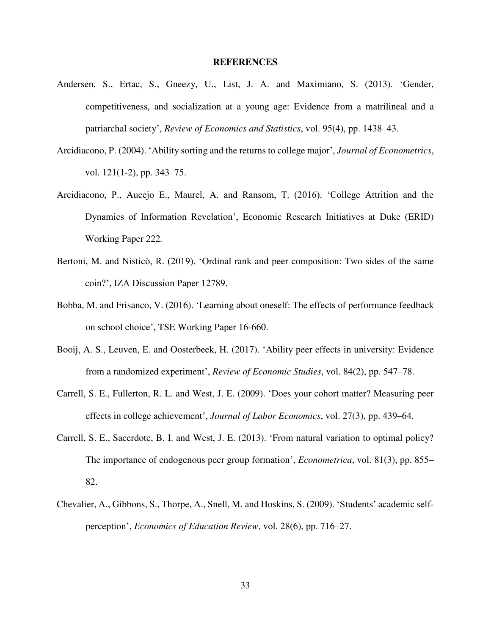#### **REFERENCES**

- Andersen, S., Ertac, S., Gneezy, U., List, J. A. and Maximiano, S. (2013). 'Gender, competitiveness, and socialization at a young age: Evidence from a matrilineal and a patriarchal society', *Review of Economics and Statistics*, vol. 95(4), pp. 1438–43.
- Arcidiacono, P. (2004). 'Ability sorting and the returns to college major', *Journal of Econometrics*, vol. 121(1-2), pp. 343–75.
- Arcidiacono, P., Aucejo E., Maurel, A. and Ransom, T. (2016). 'College Attrition and the Dynamics of Information Revelation', Economic Research Initiatives at Duke (ERID) Working Paper 222*.*
- Bertoni, M. and Nisticò, R. (2019). 'Ordinal rank and peer composition: Two sides of the same coin?', IZA Discussion Paper 12789.
- Bobba, M. and Frisanco, V. (2016). 'Learning about oneself: The effects of performance feedback on school choice', TSE Working Paper 16-660.
- Booij, A. S., Leuven, E. and Oosterbeek, H. (2017). 'Ability peer effects in university: Evidence from a randomized experiment', *Review of Economic Studies*, vol. 84(2), pp. 547–78.
- Carrell, S. E., Fullerton, R. L. and West, J. E. (2009). 'Does your cohort matter? Measuring peer effects in college achievement', *Journal of Labor Economics*, vol. 27(3), pp. 439–64.
- Carrell, S. E., Sacerdote, B. I. and West, J. E. (2013). 'From natural variation to optimal policy? The importance of endogenous peer group formation', *Econometrica*, vol. 81(3), pp. 855– 82.
- Chevalier, A., Gibbons, S., Thorpe, A., Snell, M. and Hoskins, S. (2009). 'Students' academic selfperception', *Economics of Education Review*, vol. 28(6), pp. 716–27.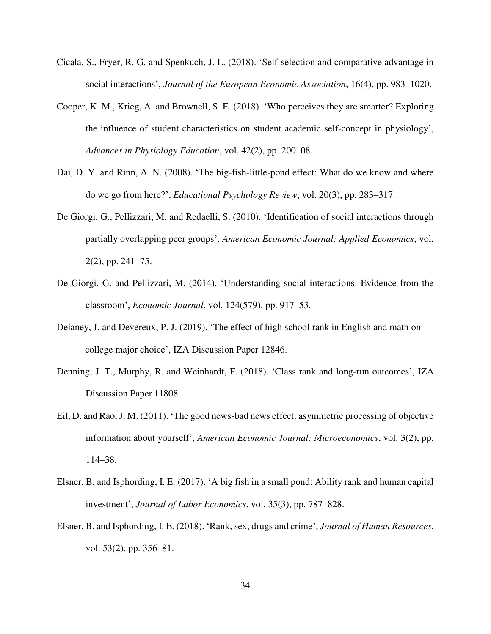- Cicala, S., Fryer, R. G. and Spenkuch, J. L. (2018). 'Self-selection and comparative advantage in social interactions', *Journal of the European Economic Association*, 16(4), pp. 983–1020.
- Cooper, K. M., Krieg, A. and Brownell, S. E. (2018). 'Who perceives they are smarter? Exploring the influence of student characteristics on student academic self-concept in physiology', *Advances in Physiology Education*, vol. 42(2), pp. 200–08.
- Dai, D. Y. and Rinn, A. N. (2008). 'The big-fish-little-pond effect: What do we know and where do we go from here?', *Educational Psychology Review*, vol. 20(3), pp. 283–317.
- De Giorgi, G., Pellizzari, M. and Redaelli, S. (2010). 'Identification of social interactions through partially overlapping peer groups', *American Economic Journal: Applied Economics*, vol. 2(2), pp. 241–75.
- De Giorgi, G. and Pellizzari, M. (2014). 'Understanding social interactions: Evidence from the classroom', *Economic Journal*, vol. 124(579), pp. 917–53.
- Delaney, J. and Devereux, P. J. (2019). 'The effect of high school rank in English and math on college major choice', IZA Discussion Paper 12846.
- Denning, J. T., Murphy, R. and Weinhardt, F. (2018). 'Class rank and long-run outcomes', IZA Discussion Paper 11808.
- Eil, D. and Rao, J. M. (2011). 'The good news-bad news effect: asymmetric processing of objective information about yourself', *American Economic Journal: Microeconomics*, vol. 3(2), pp. 114–38.
- Elsner, B. and Isphording, I. E. (2017). 'A big fish in a small pond: Ability rank and human capital investment', *Journal of Labor Economics*, vol. 35(3), pp. 787–828.
- Elsner, B. and Isphording, I. E. (2018). 'Rank, sex, drugs and crime', *Journal of Human Resources*, vol. 53(2), pp. 356–81.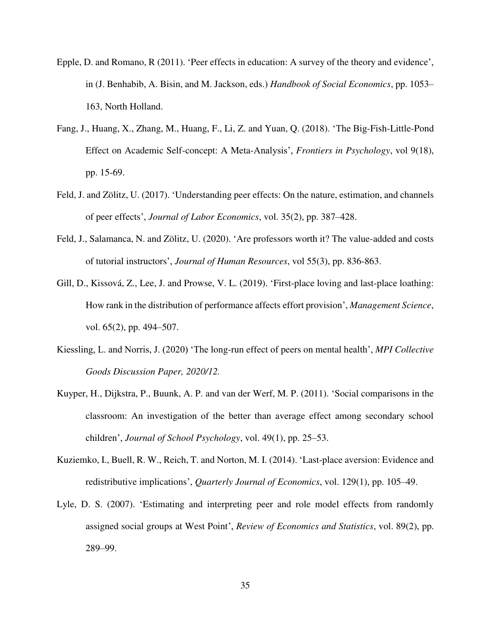- Epple, D. and Romano, R (2011). 'Peer effects in education: A survey of the theory and evidence', in (J. Benhabib, A. Bisin, and M. Jackson, eds.) *Handbook of Social Economics*, pp. 1053– 163, North Holland.
- Fang, J., Huang, X., Zhang, M., Huang, F., Li, Z. and Yuan, Q. (2018). 'The Big-Fish-Little-Pond Effect on Academic Self-concept: A Meta-Analysis', *Frontiers in Psychology*, vol 9(18), pp. 15-69.
- Feld, J. and Zölitz, U. (2017). 'Understanding peer effects: On the nature, estimation, and channels of peer effects', *Journal of Labor Economics*, vol. 35(2), pp. 387–428.
- Feld, J., Salamanca, N. and Zölitz, U. (2020). 'Are professors worth it? The value-added and costs of tutorial instructors', *Journal of Human Resources*, vol 55(3), pp. 836-863.
- Gill, D., Kissová, Z., Lee, J. and Prowse, V. L. (2019). 'First-place loving and last-place loathing: How rank in the distribution of performance affects effort provision', *Management Science*, vol. 65(2), pp. 494–507.
- Kiessling, L. and Norris, J. (2020) 'The long-run effect of peers on mental health', *MPI Collective Goods Discussion Paper, 2020/12.*
- Kuyper, H., Dijkstra, P., Buunk, A. P. and van der Werf, M. P. (2011). 'Social comparisons in the classroom: An investigation of the better than average effect among secondary school children', *Journal of School Psychology*, vol. 49(1), pp. 25–53.
- Kuziemko, I., Buell, R. W., Reich, T. and Norton, M. I. (2014). 'Last-place aversion: Evidence and redistributive implications', *Quarterly Journal of Economics*, vol. 129(1), pp. 105–49.
- Lyle, D. S. (2007). 'Estimating and interpreting peer and role model effects from randomly assigned social groups at West Point', *Review of Economics and Statistics*, vol. 89(2), pp. 289–99.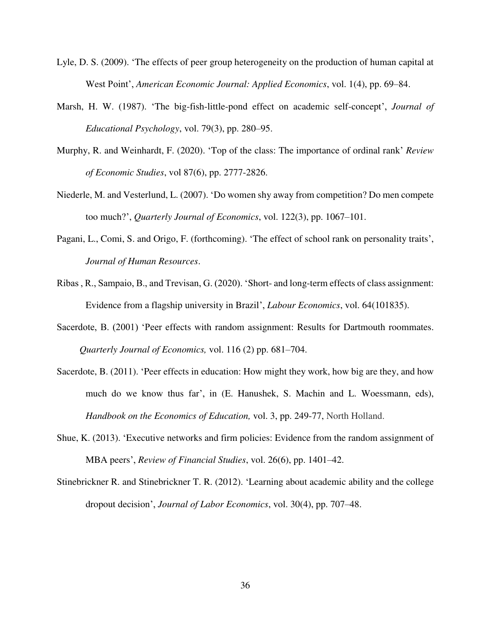- Lyle, D. S. (2009). 'The effects of peer group heterogeneity on the production of human capital at West Point', *American Economic Journal: Applied Economics*, vol. 1(4), pp. 69–84.
- Marsh, H. W. (1987). 'The big-fish-little-pond effect on academic self-concept', *Journal of Educational Psychology*, vol. 79(3), pp. 280–95.
- Murphy, R. and Weinhardt, F. (2020). 'Top of the class: The importance of ordinal rank' *Review of Economic Studies*, vol 87(6), pp. 2777-2826.
- Niederle, M. and Vesterlund, L. (2007). 'Do women shy away from competition? Do men compete too much?', *Quarterly Journal of Economics*, vol. 122(3), pp. 1067–101.
- Pagani, L., Comi, S. and Origo, F. (forthcoming). 'The effect of school rank on personality traits', *Journal of Human Resources*.
- Ribas , R., Sampaio, B., and Trevisan, G. (2020). 'Short- and long-term effects of class assignment: Evidence from a flagship university in Brazil', *Labour Economics*, vol. 64(101835).
- Sacerdote, B. (2001) 'Peer effects with random assignment: Results for Dartmouth roommates. *Quarterly Journal of Economics,* vol. 116 (2) pp. 681–704.
- Sacerdote, B. (2011). 'Peer effects in education: How might they work, how big are they, and how much do we know thus far', in (E. Hanushek, S. Machin and L. Woessmann, eds), *Handbook on the Economics of Education,* vol. 3, pp. 249-77, North Holland.
- Shue, K. (2013). 'Executive networks and firm policies: Evidence from the random assignment of MBA peers', *Review of Financial Studies*, vol. 26(6), pp. 1401–42.
- Stinebrickner R. and Stinebrickner T. R. (2012). 'Learning about academic ability and the college dropout decision', *Journal of Labor Economics*, vol. 30(4), pp. 707–48.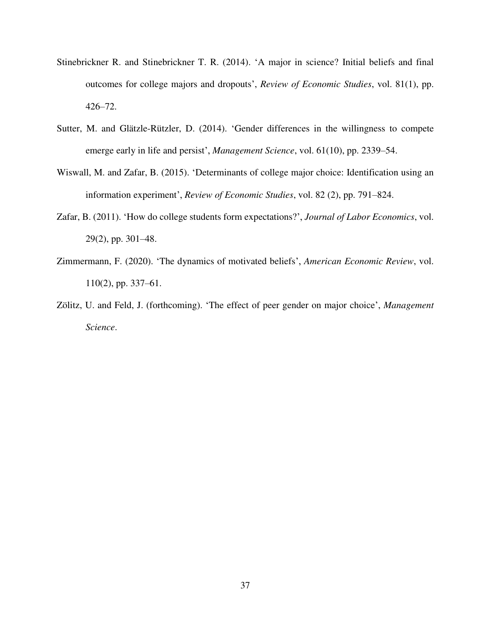- Stinebrickner R. and Stinebrickner T. R. (2014). 'A major in science? Initial beliefs and final outcomes for college majors and dropouts', *Review of Economic Studies*, vol. 81(1), pp. 426–72.
- Sutter, M. and Glätzle-Rützler, D. (2014). 'Gender differences in the willingness to compete emerge early in life and persist', *Management Science*, vol. 61(10), pp. 2339–54.
- Wiswall, M. and Zafar, B. (2015). 'Determinants of college major choice: Identification using an information experiment', *Review of Economic Studies*, vol. 82 (2), pp. 791–824.
- Zafar, B. (2011). 'How do college students form expectations?', *Journal of Labor Economics*, vol. 29(2), pp. 301–48.
- Zimmermann, F. (2020). 'The dynamics of motivated beliefs', *American Economic Review*, vol. 110(2), pp. 337–61.
- Zölitz, U. and Feld, J. (forthcoming). 'The effect of peer gender on major choice', *Management Science*.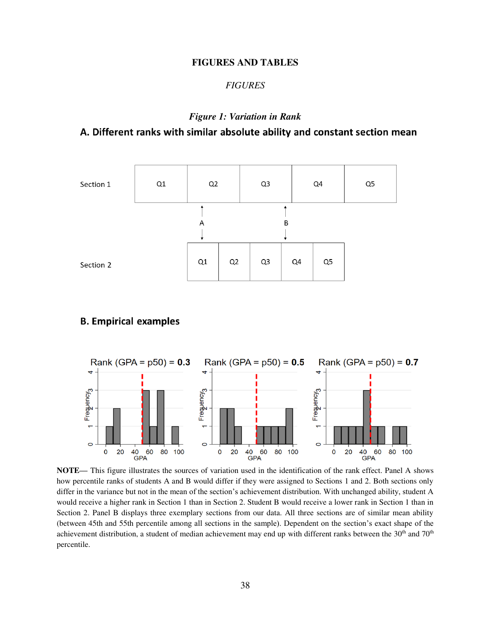#### **FIGURES AND TABLES**

#### *FIGURES*

# *Figure 1: Variation in Rank*

# A. Different ranks with similar absolute ability and constant section mean



# **B. Empirical examples**



**NOTE—** This figure illustrates the sources of variation used in the identification of the rank effect. Panel A shows how percentile ranks of students A and B would differ if they were assigned to Sections 1 and 2. Both sections only differ in the variance but not in the mean of the section's achievement distribution. With unchanged ability, student A would receive a higher rank in Section 1 than in Section 2. Student B would receive a lower rank in Section 1 than in Section 2. Panel B displays three exemplary sections from our data. All three sections are of similar mean ability (between 45th and 55th percentile among all sections in the sample). Dependent on the section's exact shape of the achievement distribution, a student of median achievement may end up with different ranks between the 30<sup>th</sup> and 70<sup>th</sup> percentile.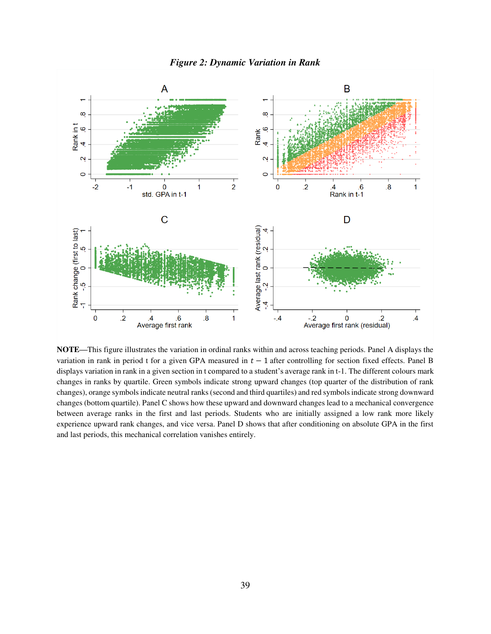

**NOTE—**This figure illustrates the variation in ordinal ranks within and across teaching periods. Panel A displays the variation in rank in period t for a given GPA measured in  $t - 1$  after controlling for section fixed effects. Panel B displays variation in rank in a given section in t compared to a student's average rank in t-1. The different colours mark changes in ranks by quartile. Green symbols indicate strong upward changes (top quarter of the distribution of rank changes), orange symbols indicate neutral ranks (second and third quartiles) and red symbols indicate strong downward changes (bottom quartile). Panel C shows how these upward and downward changes lead to a mechanical convergence between average ranks in the first and last periods. Students who are initially assigned a low rank more likely experience upward rank changes, and vice versa. Panel D shows that after conditioning on absolute GPA in the first and last periods, this mechanical correlation vanishes entirely.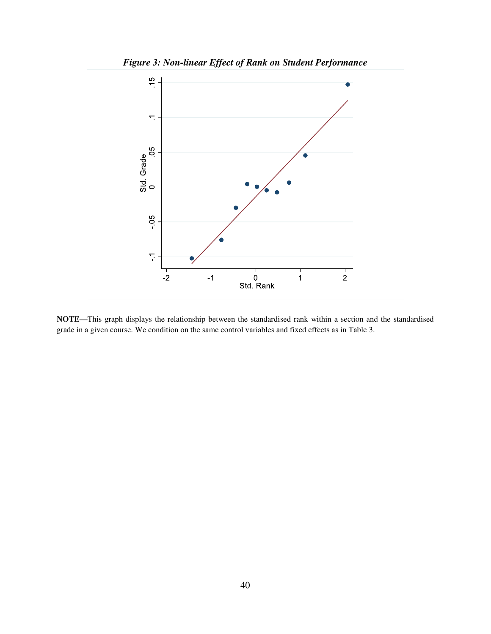

**NOTE—**This graph displays the relationship between the standardised rank within a section and the standardised grade in a given course. We condition on the same control variables and fixed effects as in Table 3.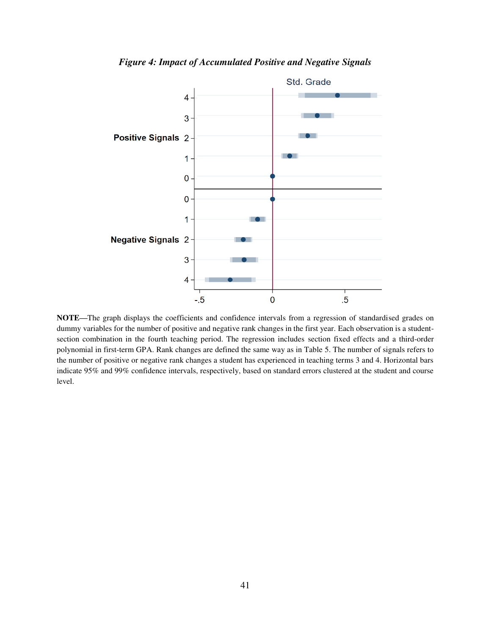



**NOTE—**The graph displays the coefficients and confidence intervals from a regression of standardised grades on dummy variables for the number of positive and negative rank changes in the first year. Each observation is a studentsection combination in the fourth teaching period. The regression includes section fixed effects and a third-order polynomial in first-term GPA. Rank changes are defined the same way as in Table 5. The number of signals refers to the number of positive or negative rank changes a student has experienced in teaching terms 3 and 4. Horizontal bars indicate 95% and 99% confidence intervals, respectively, based on standard errors clustered at the student and course level.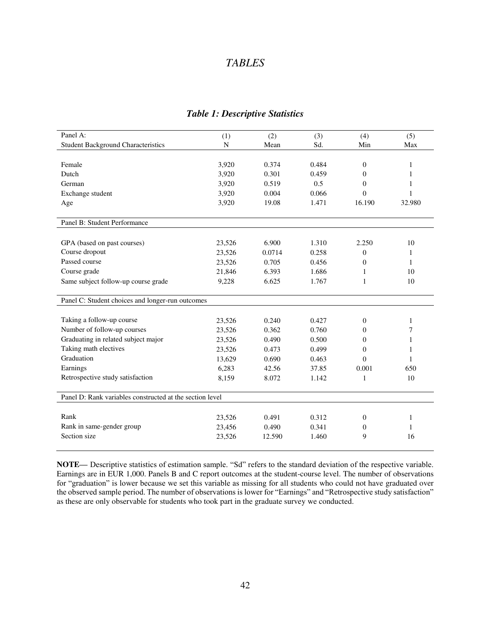# *TABLES*

| Panel A:                                                 | (1)    | (2)    | (3)   | (4)            | (5)          |
|----------------------------------------------------------|--------|--------|-------|----------------|--------------|
| <b>Student Background Characteristics</b>                | N      | Mean   | Sd.   | Min            | Max          |
|                                                          |        |        |       |                |              |
| Female                                                   | 3,920  | 0.374  | 0.484 | $\overline{0}$ | 1            |
| Dutch                                                    | 3,920  | 0.301  | 0.459 | $\Omega$       | 1            |
| German                                                   | 3,920  | 0.519  | 0.5   | $\overline{0}$ | 1            |
| Exchange student                                         | 3,920  | 0.004  | 0.066 | $\Omega$       | 1            |
| Age                                                      | 3,920  | 19.08  | 1.471 | 16.190         | 32.980       |
|                                                          |        |        |       |                |              |
| Panel B: Student Performance                             |        |        |       |                |              |
| GPA (based on past courses)                              | 23,526 | 6.900  | 1.310 | 2.250          | 10           |
| Course dropout                                           | 23,526 | 0.0714 | 0.258 | $\mathbf{0}$   | 1            |
| Passed course                                            | 23,526 | 0.705  | 0.456 | $\mathbf{0}$   | 1            |
| Course grade                                             | 21,846 | 6.393  | 1.686 | 1              | 10           |
| Same subject follow-up course grade                      | 9,228  | 6.625  | 1.767 | 1              | 10           |
|                                                          |        |        |       |                |              |
| Panel C: Student choices and longer-run outcomes         |        |        |       |                |              |
|                                                          |        |        |       |                |              |
| Taking a follow-up course                                | 23,526 | 0.240  | 0.427 | $\Omega$       | 1            |
| Number of follow-up courses                              | 23,526 | 0.362  | 0.760 | $\mathbf{0}$   | 7            |
| Graduating in related subject major                      | 23,526 | 0.490  | 0.500 | $\theta$       | 1            |
| Taking math electives                                    | 23,526 | 0.473  | 0.499 | $\overline{0}$ | 1            |
| Graduation                                               | 13,629 | 0.690  | 0.463 | $\Omega$       | 1            |
| Earnings                                                 | 6,283  | 42.56  | 37.85 | 0.001          | 650          |
| Retrospective study satisfaction                         | 8,159  | 8.072  | 1.142 | 1              | 10           |
|                                                          |        |        |       |                |              |
| Panel D: Rank variables constructed at the section level |        |        |       |                |              |
| Rank                                                     | 23,526 | 0.491  | 0.312 | $\mathbf{0}$   | 1            |
| Rank in same-gender group                                | 23,456 | 0.490  | 0.341 | 0              | $\mathbf{1}$ |
| Section size                                             | 23,526 | 12.590 | 1.460 | 9              | 16           |
|                                                          |        |        |       |                |              |

### *Table 1: Descriptive Statistics*

**NOTE—** Descriptive statistics of estimation sample. "Sd" refers to the standard deviation of the respective variable. Earnings are in EUR 1,000. Panels B and C report outcomes at the student-course level. The number of observations for "graduation" is lower because we set this variable as missing for all students who could not have graduated over the observed sample period. The number of observations is lower for "Earnings" and "Retrospective study satisfaction" as these are only observable for students who took part in the graduate survey we conducted.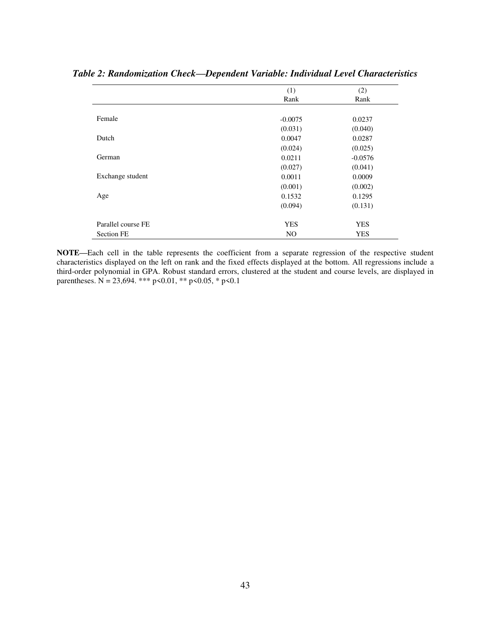|                    | (1)        | (2)        |
|--------------------|------------|------------|
|                    | Rank       | Rank       |
|                    |            |            |
| Female             | $-0.0075$  | 0.0237     |
|                    | (0.031)    | (0.040)    |
| Dutch              | 0.0047     | 0.0287     |
|                    | (0.024)    | (0.025)    |
| German             | 0.0211     | $-0.0576$  |
|                    | (0.027)    | (0.041)    |
| Exchange student   | 0.0011     | 0.0009     |
|                    | (0.001)    | (0.002)    |
| Age                | 0.1532     | 0.1295     |
|                    | (0.094)    | (0.131)    |
| Parallel course FE | <b>YES</b> | <b>YES</b> |
| <b>Section FE</b>  | NO.        | <b>YES</b> |

*Table 2: Randomization Check—Dependent Variable: Individual Level Characteristics* 

**NOTE—**Each cell in the table represents the coefficient from a separate regression of the respective student characteristics displayed on the left on rank and the fixed effects displayed at the bottom. All regressions include a third-order polynomial in GPA. Robust standard errors, clustered at the student and course levels, are displayed in parentheses. N = 23,694. \*\*\* p<0.01, \*\* p<0.05, \* p<0.1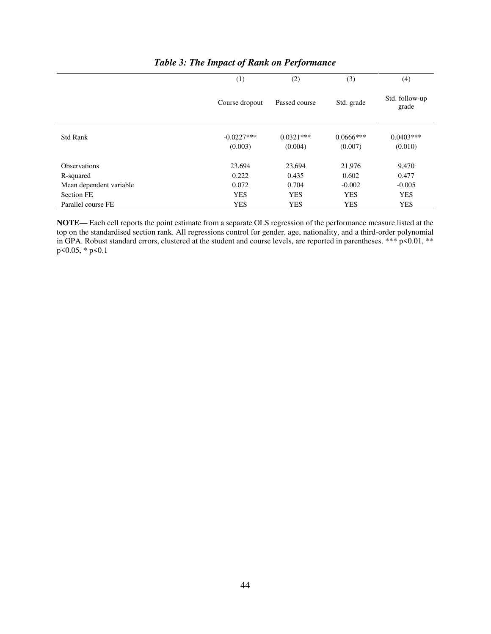|                         | (1)                     | (2)                    | (3)                    | (4)                     |
|-------------------------|-------------------------|------------------------|------------------------|-------------------------|
|                         | Course dropout          | Passed course          | Std. grade             | Std. follow-up<br>grade |
| <b>Std Rank</b>         | $-0.0227***$<br>(0.003) | $0.0321***$<br>(0.004) | $0.0666***$<br>(0.007) | $0.0403***$<br>(0.010)  |
| <b>Observations</b>     | 23,694                  | 23,694                 | 21,976                 | 9,470                   |
| R-squared               | 0.222                   | 0.435                  | 0.602                  | 0.477                   |
| Mean dependent variable | 0.072                   | 0.704                  | $-0.002$               | $-0.005$                |
| <b>Section FE</b>       | <b>YES</b>              | <b>YES</b>             | <b>YES</b>             | <b>YES</b>              |
| Parallel course FE      | <b>YES</b>              | <b>YES</b>             | <b>YES</b>             | <b>YES</b>              |

# *Table 3: The Impact of Rank on Performance*

**NOTE—** Each cell reports the point estimate from a separate OLS regression of the performance measure listed at the top on the standardised section rank. All regressions control for gender, age, nationality, and a third-order polynomial in GPA. Robust standard errors, clustered at the student and course levels, are reported in parentheses. \*\*\* p<0.01, \*\* p<0.05, \* p<0.1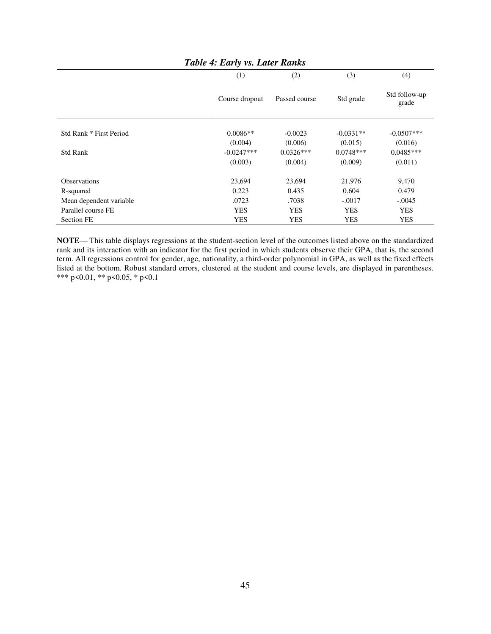|                         | $\checkmark$   |               |             |                        |
|-------------------------|----------------|---------------|-------------|------------------------|
|                         | (1)            | (2)           | (3)         | (4)                    |
|                         | Course dropout | Passed course | Std grade   | Std follow-up<br>grade |
| Std Rank * First Period | $0.0086**$     | $-0.0023$     | $-0.0331**$ | $-0.0507***$           |
|                         |                |               |             |                        |
|                         | (0.004)        | (0.006)       | (0.015)     | (0.016)                |
| <b>Std Rank</b>         | $-0.0247***$   | $0.0326***$   | $0.0748***$ | $0.0485***$            |
|                         | (0.003)        | (0.004)       | (0.009)     | (0.011)                |
| <b>Observations</b>     | 23,694         | 23,694        | 21,976      | 9,470                  |
| R-squared               | 0.223          | 0.435         | 0.604       | 0.479                  |
| Mean dependent variable | .0723          | .7038         | $-.0017$    | $-.0045$               |
| Parallel course FE      | <b>YES</b>     | <b>YES</b>    | <b>YES</b>  | <b>YES</b>             |
| <b>Section FE</b>       | <b>YES</b>     | <b>YES</b>    | <b>YES</b>  | <b>YES</b>             |

*Table 4: Early vs. Later Ranks* 

**NOTE—** This table displays regressions at the student-section level of the outcomes listed above on the standardized rank and its interaction with an indicator for the first period in which students observe their GPA, that is, the second term. All regressions control for gender, age, nationality, a third-order polynomial in GPA, as well as the fixed effects listed at the bottom. Robust standard errors, clustered at the student and course levels, are displayed in parentheses. \*\*\* p<0.01, \*\* p<0.05, \* p<0.1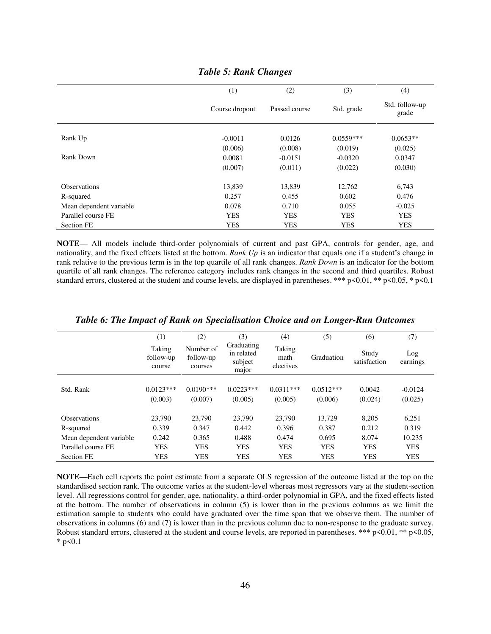|                         | (1)            | (2)           | (3)         | (4)                     |
|-------------------------|----------------|---------------|-------------|-------------------------|
|                         | Course dropout | Passed course | Std. grade  | Std. follow-up<br>grade |
| Rank Up                 | $-0.0011$      | 0.0126        | $0.0559***$ | $0.0653**$              |
|                         | (0.006)        | (0.008)       | (0.019)     | (0.025)                 |
| Rank Down               | 0.0081         | $-0.0151$     | $-0.0320$   | 0.0347                  |
|                         | (0.007)        | (0.011)       | (0.022)     | (0.030)                 |
| <b>Observations</b>     | 13,839         | 13,839        | 12,762      | 6,743                   |
| R-squared               | 0.257          | 0.455         | 0.602       | 0.476                   |
| Mean dependent variable | 0.078          | 0.710         | 0.055       | $-0.025$                |
| Parallel course FE      | <b>YES</b>     | <b>YES</b>    | <b>YES</b>  | <b>YES</b>              |
| <b>Section FE</b>       | <b>YES</b>     | <b>YES</b>    | <b>YES</b>  | <b>YES</b>              |

### *Table 5: Rank Changes*

**NOTE—** All models include third-order polynomials of current and past GPA, controls for gender, age, and nationality, and the fixed effects listed at the bottom. *Rank Up* is an indicator that equals one if a student's change in rank relative to the previous term is in the top quartile of all rank changes. *Rank Down* is an indicator for the bottom quartile of all rank changes. The reference category includes rank changes in the second and third quartiles. Robust standard errors, clustered at the student and course levels, are displayed in parentheses. \*\*\*  $p<0.01$ , \*\*  $p<0.05$ , \*  $p<0.1$ 

|                         | (1)                           | (2)                               | (3)                                          | (4)                         | (5)         | (6)                   | (7)             |
|-------------------------|-------------------------------|-----------------------------------|----------------------------------------------|-----------------------------|-------------|-----------------------|-----------------|
|                         | Taking<br>follow-up<br>course | Number of<br>follow-up<br>courses | Graduating<br>in related<br>subject<br>major | Taking<br>math<br>electives | Graduation  | Study<br>satisfaction | Log<br>earnings |
|                         |                               |                                   |                                              |                             |             |                       |                 |
| Std. Rank               | $0.0123***$                   | $0.0190***$                       | $0.0223***$                                  | $0.0311***$                 | $0.0512***$ | 0.0042                | $-0.0124$       |
|                         | (0.003)                       | (0.007)                           | (0.005)                                      | (0.005)                     | (0.006)     | (0.024)               | (0.025)         |
| <b>Observations</b>     | 23.790                        | 23,790                            | 23,790                                       | 23,790                      | 13.729      | 8,205                 | 6,251           |
| R-squared               | 0.339                         | 0.347                             | 0.442                                        | 0.396                       | 0.387       | 0.212                 | 0.319           |
| Mean dependent variable | 0.242                         | 0.365                             | 0.488                                        | 0.474                       | 0.695       | 8.074                 | 10.235          |
| Parallel course FE      | <b>YES</b>                    | YES                               | YES                                          | <b>YES</b>                  | <b>YES</b>  | <b>YES</b>            | <b>YES</b>      |
| <b>Section FE</b>       | <b>YES</b>                    | YES                               | YES                                          | <b>YES</b>                  | <b>YES</b>  | <b>YES</b>            | <b>YES</b>      |

*Table 6: The Impact of Rank on Specialisation Choice and on Longer-Run Outcomes* 

**NOTE—**Each cell reports the point estimate from a separate OLS regression of the outcome listed at the top on the standardised section rank. The outcome varies at the student-level whereas most regressors vary at the student-section level. All regressions control for gender, age, nationality, a third-order polynomial in GPA, and the fixed effects listed at the bottom. The number of observations in column (5) is lower than in the previous columns as we limit the estimation sample to students who could have graduated over the time span that we observe them. The number of observations in columns (6) and (7) is lower than in the previous column due to non-response to the graduate survey. Robust standard errors, clustered at the student and course levels, are reported in parentheses. \*\*\* p<0.01, \*\* p<0.05,  $*$  p < 0.1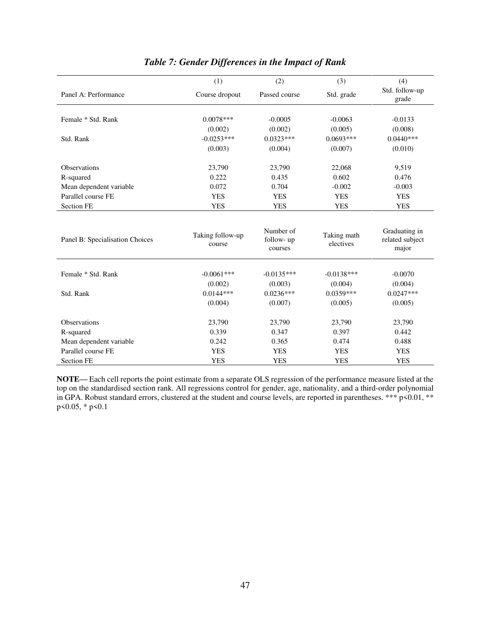|                                 | (1)                        | (2)                                | (3)                      | (4)                                       |
|---------------------------------|----------------------------|------------------------------------|--------------------------|-------------------------------------------|
| Panel A: Performance            | Course dropout             | Passed course                      | Std. grade               | Std. follow-up<br>grade                   |
|                                 |                            |                                    |                          |                                           |
| Female * Std. Rank              | $0.0078***$                | $-0.0005$                          | $-0.0063$                | $-0.0133$                                 |
|                                 | (0.002)                    | (0.002)                            | (0.005)                  | (0.008)                                   |
| Std. Rank                       | $-0.0253***$               | $0.0323***$                        | $0.0693***$              | $0.0440***$                               |
|                                 | (0.003)                    | (0.004)                            | (0.007)                  | (0.010)                                   |
| <b>Observations</b>             | 23,790                     | 23,790                             | 22,068                   | 9,519                                     |
| R-squared                       | 0.222                      | 0.435                              | 0.602                    | 0.476                                     |
| Mean dependent variable         | 0.072                      | 0.704                              | $-0.002$                 | $-0.003$                                  |
| Parallel course FE              | <b>YES</b>                 | <b>YES</b>                         | <b>YES</b>               | <b>YES</b>                                |
| <b>Section FE</b>               | <b>YES</b>                 | <b>YES</b>                         | <b>YES</b>               | <b>YES</b>                                |
| Panel B: Specialisation Choices | Taking follow-up<br>course | Number of<br>follow- up<br>courses | Taking math<br>electives | Graduating in<br>related subject<br>major |
| Female * Std. Rank              | $-0.0061***$               | $-0.0135***$                       | $-0.0138***$             | $-0.0070$                                 |
|                                 | (0.002)                    | (0.003)                            | (0.004)                  | (0.004)                                   |
| Std. Rank                       | $0.0144***$                | $0.0236***$                        | $0.0359***$              | $0.0247***$                               |
|                                 | (0.004)                    | (0.007)                            | (0.005)                  | (0.005)                                   |
| Observations                    | 23,790                     | 23,790                             | 23,790                   | 23,790                                    |
| R-squared                       | 0.339                      | 0.347                              | 0.397                    | 0.442                                     |
| Mean dependent variable         | 0.242                      | 0.365                              | 0.474                    | 0.488                                     |
| Parallel course FE              | <b>YES</b>                 | <b>YES</b>                         | <b>YES</b>               | <b>YES</b>                                |
| <b>Section FE</b>               | <b>YES</b>                 | <b>YES</b>                         | <b>YES</b>               | <b>YES</b>                                |

# *Table 7: Gender Differences in the Impact of Rank*

**NOTE—** Each cell reports the point estimate from a separate OLS regression of the performance measure listed at the top on the standardised section rank. All regressions control for gender, age, nationality, and a third-order polynomial in GPA. Robust standard errors, clustered at the student and course levels, are reported in parentheses. \*\*\* p<0.01, \*\* p<0.05, \* p<0.1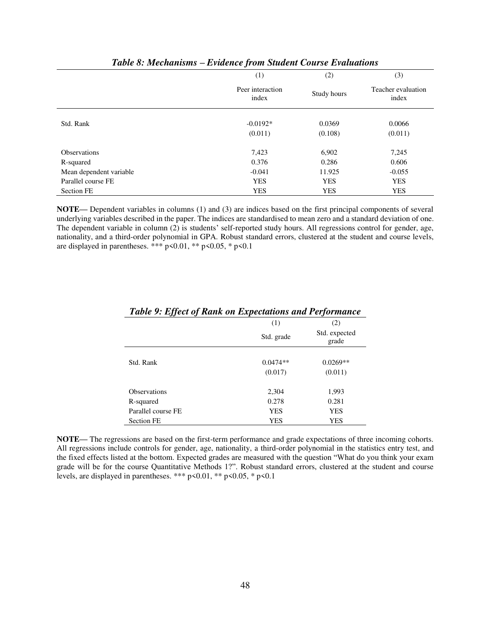|                         | v                         |             |                             |
|-------------------------|---------------------------|-------------|-----------------------------|
|                         | (1)                       | (2)         | (3)                         |
|                         | Peer interaction<br>index | Study hours | Teacher evaluation<br>index |
| Std. Rank               | $-0.0192*$                | 0.0369      | 0.0066                      |
|                         | (0.011)                   | (0.108)     | (0.011)                     |
| <b>Observations</b>     | 7,423                     | 6,902       | 7,245                       |
| R-squared               | 0.376                     | 0.286       | 0.606                       |
| Mean dependent variable | $-0.041$                  | 11.925      | $-0.055$                    |
| Parallel course FE      | <b>YES</b>                | <b>YES</b>  | <b>YES</b>                  |
| <b>Section FE</b>       | <b>YES</b>                | <b>YES</b>  | <b>YES</b>                  |

#### *Table 8: Mechanisms – Evidence from Student Course Evaluations*

**NOTE—** Dependent variables in columns (1) and (3) are indices based on the first principal components of several underlying variables described in the paper. The indices are standardised to mean zero and a standard deviation of one. The dependent variable in column (2) is students' self-reported study hours. All regressions control for gender, age, nationality, and a third-order polynomial in GPA. Robust standard errors, clustered at the student and course levels, are displayed in parentheses. \*\*\* p<0.01, \*\* p<0.05, \* p<0.1

|                     | (1)        | (2)                    |
|---------------------|------------|------------------------|
|                     | Std. grade | Std. expected<br>grade |
|                     |            |                        |
| Std. Rank           | $0.0474**$ | $0.0269**$             |
|                     | (0.017)    | (0.011)                |
|                     |            |                        |
| <b>Observations</b> | 2,304      | 1,993                  |
| R-squared           | 0.278      | 0.281                  |
| Parallel course FE  | <b>YES</b> | <b>YES</b>             |
| <b>Section FE</b>   | YES        | <b>YES</b>             |

# *Table 9: Effect of Rank on Expectations and Performance*

**NOTE—** The regressions are based on the first-term performance and grade expectations of three incoming cohorts. All regressions include controls for gender, age, nationality, a third-order polynomial in the statistics entry test, and the fixed effects listed at the bottom. Expected grades are measured with the question "What do you think your exam grade will be for the course Quantitative Methods 1?". Robust standard errors, clustered at the student and course levels, are displayed in parentheses. \*\*\* p<0.01, \*\* p<0.05, \* p<0.1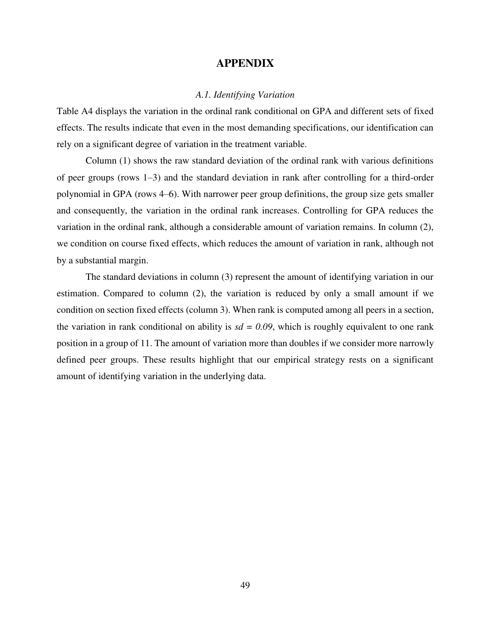# **APPENDIX**

# *A.1. Identifying Variation*

Table A4 displays the variation in the ordinal rank conditional on GPA and different sets of fixed effects. The results indicate that even in the most demanding specifications, our identification can rely on a significant degree of variation in the treatment variable.

Column (1) shows the raw standard deviation of the ordinal rank with various definitions of peer groups (rows 1–3) and the standard deviation in rank after controlling for a third-order polynomial in GPA (rows 4–6). With narrower peer group definitions, the group size gets smaller and consequently, the variation in the ordinal rank increases. Controlling for GPA reduces the variation in the ordinal rank, although a considerable amount of variation remains. In column (2), we condition on course fixed effects, which reduces the amount of variation in rank, although not by a substantial margin.

The standard deviations in column (3) represent the amount of identifying variation in our estimation. Compared to column (2), the variation is reduced by only a small amount if we condition on section fixed effects (column 3). When rank is computed among all peers in a section, the variation in rank conditional on ability is  $sd = 0.09$ , which is roughly equivalent to one rank position in a group of 11. The amount of variation more than doubles if we consider more narrowly defined peer groups. These results highlight that our empirical strategy rests on a significant amount of identifying variation in the underlying data.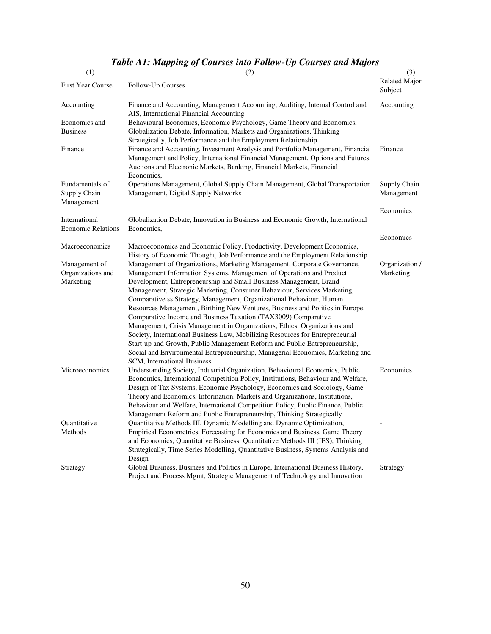| (1)                                | (2)                                                                                                                                                       | (3)                             |
|------------------------------------|-----------------------------------------------------------------------------------------------------------------------------------------------------------|---------------------------------|
| First Year Course                  | Follow-Up Courses                                                                                                                                         | <b>Related Major</b><br>Subject |
| Accounting                         | Finance and Accounting, Management Accounting, Auditing, Internal Control and<br>AIS, International Financial Accounting                                  | Accounting                      |
| Economics and                      | Behavioural Economics, Economic Psychology, Game Theory and Economics,                                                                                    |                                 |
| <b>Business</b>                    | Globalization Debate, Information, Markets and Organizations, Thinking                                                                                    |                                 |
|                                    | Strategically, Job Performance and the Employment Relationship                                                                                            |                                 |
| Finance                            | Finance and Accounting, Investment Analysis and Portfolio Management, Financial                                                                           | Finance                         |
|                                    | Management and Policy, International Financial Management, Options and Futures,<br>Auctions and Electronic Markets, Banking, Financial Markets, Financial |                                 |
|                                    | Economics,                                                                                                                                                |                                 |
| Fundamentals of                    | Operations Management, Global Supply Chain Management, Global Transportation                                                                              | Supply Chain                    |
| Supply Chain                       | Management, Digital Supply Networks                                                                                                                       | Management                      |
| Management                         |                                                                                                                                                           |                                 |
|                                    |                                                                                                                                                           | Economics                       |
| International                      | Globalization Debate, Innovation in Business and Economic Growth, International                                                                           |                                 |
| <b>Economic Relations</b>          | Economics,                                                                                                                                                |                                 |
|                                    |                                                                                                                                                           | Economics                       |
| Macroeconomics                     | Macroeconomics and Economic Policy, Productivity, Development Economics,                                                                                  |                                 |
|                                    | History of Economic Thought, Job Performance and the Employment Relationship                                                                              |                                 |
| Management of<br>Organizations and | Management of Organizations, Marketing Management, Corporate Governance,<br>Management Information Systems, Management of Operations and Product          | Organization /<br>Marketing     |
| Marketing                          | Development, Entrepreneurship and Small Business Management, Brand                                                                                        |                                 |
|                                    | Management, Strategic Marketing, Consumer Behaviour, Services Marketing,                                                                                  |                                 |
|                                    | Comparative ss Strategy, Management, Organizational Behaviour, Human                                                                                      |                                 |
|                                    | Resources Management, Birthing New Ventures, Business and Politics in Europe,                                                                             |                                 |
|                                    | Comparative Income and Business Taxation (TAX3009) Comparative                                                                                            |                                 |
|                                    | Management, Crisis Management in Organizations, Ethics, Organizations and                                                                                 |                                 |
|                                    | Society, International Business Law, Mobilizing Resources for Entrepreneurial                                                                             |                                 |
|                                    | Start-up and Growth, Public Management Reform and Public Entrepreneurship,                                                                                |                                 |
|                                    | Social and Environmental Entrepreneurship, Managerial Economics, Marketing and                                                                            |                                 |
|                                    | SCM, International Business                                                                                                                               |                                 |
| Microeconomics                     | Understanding Society, Industrial Organization, Behavioural Economics, Public                                                                             | Economics                       |
|                                    | Economics, International Competition Policy, Institutions, Behaviour and Welfare,                                                                         |                                 |
|                                    | Design of Tax Systems, Economic Psychology, Economics and Sociology, Game                                                                                 |                                 |
|                                    | Theory and Economics, Information, Markets and Organizations, Institutions,                                                                               |                                 |
|                                    | Behaviour and Welfare, International Competition Policy, Public Finance, Public<br>Management Reform and Public Entrepreneurship, Thinking Strategically  |                                 |
| Quantitative                       | Quantitative Methods III, Dynamic Modelling and Dynamic Optimization,                                                                                     |                                 |
| Methods                            | Empirical Econometrics, Forecasting for Economics and Business, Game Theory                                                                               |                                 |
|                                    | and Economics, Quantitative Business, Quantitative Methods III (IES), Thinking                                                                            |                                 |
|                                    | Strategically, Time Series Modelling, Quantitative Business, Systems Analysis and                                                                         |                                 |
|                                    | Design                                                                                                                                                    |                                 |
| Strategy                           | Global Business, Business and Politics in Europe, International Business History,                                                                         | Strategy                        |
|                                    | Project and Process Mgmt, Strategic Management of Technology and Innovation                                                                               |                                 |

# *Table A1: Mapping of Courses into Follow-Up Courses and Majors*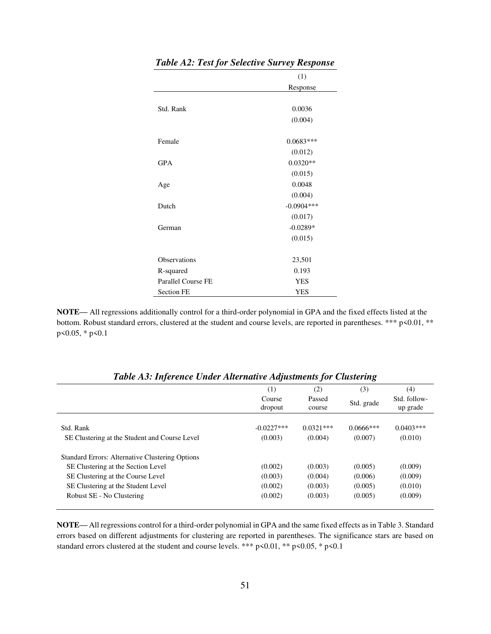|                     | (1)           |
|---------------------|---------------|
|                     | Response      |
|                     |               |
| Std. Rank           | 0.0036        |
|                     | (0.004)       |
|                     |               |
| Female              | $0.0683***$   |
|                     | (0.012)       |
| <b>GPA</b>          | $0.0320**$    |
|                     | (0.015)       |
| Age                 | 0.0048        |
|                     | (0.004)       |
| Dutch               | $-0.0904$ *** |
|                     | (0.017)       |
| German              | $-0.0289*$    |
|                     | (0.015)       |
|                     |               |
| <b>Observations</b> | 23,501        |
| R-squared           | 0.193         |
| Parallel Course FE  | <b>YES</b>    |
| <b>Section FE</b>   | <b>YES</b>    |

#### *Table A2: Test for Selective Survey Response*

 $\overline{\phantom{0}}$ 

**NOTE—** All regressions additionally control for a third-order polynomial in GPA and the fixed effects listed at the bottom. Robust standard errors, clustered at the student and course levels, are reported in parentheses. \*\*\* p<0.01, \*\* p<0.05, \* p<0.1

|                                                                                                                                                                                                      | (1)<br>Course<br>dropout                 | (2)<br>Passed<br>course                  | (3)<br>Std. grade                        | (4)<br>Std. follow-<br>up grade          |
|------------------------------------------------------------------------------------------------------------------------------------------------------------------------------------------------------|------------------------------------------|------------------------------------------|------------------------------------------|------------------------------------------|
| Std. Rank<br>SE Clustering at the Student and Course Level                                                                                                                                           | $-0.0227$ ***<br>(0.003)                 | $0.0321***$<br>(0.004)                   | $0.0666***$<br>(0.007)                   | $0.0403***$<br>(0.010)                   |
| <b>Standard Errors: Alternative Clustering Options</b><br>SE Clustering at the Section Level<br>SE Clustering at the Course Level<br>SE Clustering at the Student Level<br>Robust SE - No Clustering | (0.002)<br>(0.003)<br>(0.002)<br>(0.002) | (0.003)<br>(0.004)<br>(0.003)<br>(0.003) | (0.005)<br>(0.006)<br>(0.005)<br>(0.005) | (0.009)<br>(0.009)<br>(0.010)<br>(0.009) |

*Table A3: Inference Under Alternative Adjustments for Clustering* 

**NOTE—** All regressions control for a third-order polynomial in GPA and the same fixed effects as in Table 3. Standard errors based on different adjustments for clustering are reported in parentheses. The significance stars are based on standard errors clustered at the student and course levels. \*\*\*  $p$  <0.01, \*\*  $p$  <0.05, \*  $p$  <0.1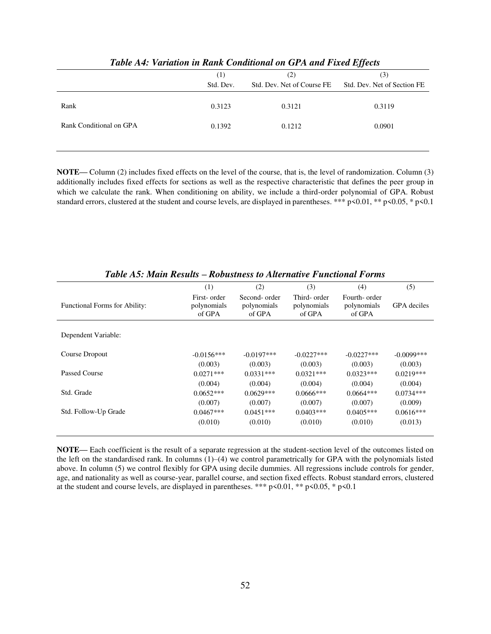|                         | (1)       | (2)                        | (3)                         |
|-------------------------|-----------|----------------------------|-----------------------------|
|                         | Std. Dev. | Std. Dev. Net of Course FE | Std. Dev. Net of Section FE |
|                         |           |                            |                             |
| Rank                    | 0.3123    | 0.3121                     | 0.3119                      |
|                         |           |                            |                             |
| Rank Conditional on GPA | 0.1392    | 0.1212                     | 0.0901                      |
|                         |           |                            |                             |
|                         |           |                            |                             |

*Table A4: Variation in Rank Conditional on GPA and Fixed Effects* 

**NOTE**— Column (2) includes fixed effects on the level of the course, that is, the level of randomization. Column (3) additionally includes fixed effects for sections as well as the respective characteristic that defines the peer group in which we calculate the rank. When conditioning on ability, we include a third-order polynomial of GPA. Robust standard errors, clustered at the student and course levels, are displayed in parentheses. \*\*\* p<0.01, \*\* p<0.05, \* p<0.1

|                                      | (1)                                   | (2)                                   | (3)                                   | (4)                                   | (5)          |
|--------------------------------------|---------------------------------------|---------------------------------------|---------------------------------------|---------------------------------------|--------------|
| <b>Functional Forms for Ability:</b> | First- order<br>polynomials<br>of GPA | Second-order<br>polynomials<br>of GPA | Third- order<br>polynomials<br>of GPA | Fourth-order<br>polynomials<br>of GPA | GPA deciles  |
| Dependent Variable:                  |                                       |                                       |                                       |                                       |              |
| Course Dropout                       | $-0.0156***$                          | $-0.0197***$                          | $-0.0227***$                          | $-0.0227***$                          | $-0.0099***$ |
|                                      | (0.003)                               | (0.003)                               | (0.003)                               | (0.003)                               | (0.003)      |
| Passed Course                        | $0.0271***$                           | $0.0331***$                           | $0.0321***$                           | $0.0323***$                           | $0.0219***$  |
|                                      | (0.004)                               | (0.004)                               | (0.004)                               | (0.004)                               | (0.004)      |
| Std. Grade                           | $0.0652***$                           | $0.0629***$                           | $0.0666***$                           | $0.0664***$                           | $0.0734***$  |
|                                      | (0.007)                               | (0.007)                               | (0.007)                               | (0.007)                               | (0.009)      |
| Std. Follow-Up Grade                 | $0.0467***$                           | $0.0451***$                           | $0.0403***$                           | $0.0405***$                           | $0.0616***$  |
|                                      | (0.010)                               | (0.010)                               | (0.010)                               | (0.010)                               | (0.013)      |

*Table A5: Main Results – Robustness to Alternative Functional Forms* 

**NOTE—** Each coefficient is the result of a separate regression at the student-section level of the outcomes listed on the left on the standardised rank. In columns (1)–(4) we control parametrically for GPA with the polynomials listed above. In column (5) we control flexibly for GPA using decile dummies. All regressions include controls for gender, age, and nationality as well as course-year, parallel course, and section fixed effects. Robust standard errors, clustered at the student and course levels, are displayed in parentheses. \*\*\*  $p$  <0.01, \*\*  $p$  <0.05, \*  $p$  <0.1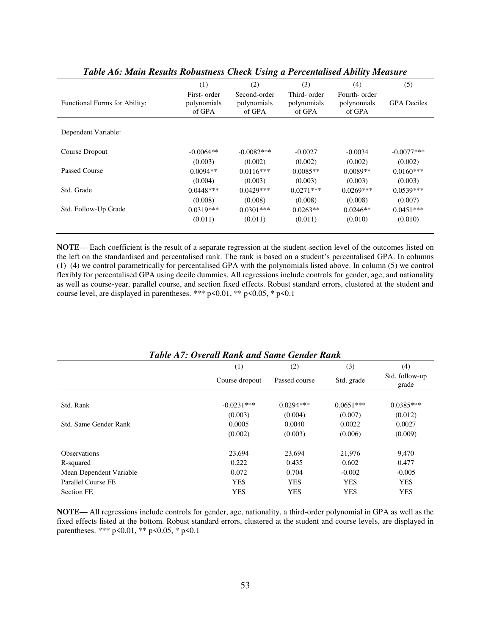|                               | (1)                                   | (2)                                   | (3)                                   | (4)                                   | (5)                |
|-------------------------------|---------------------------------------|---------------------------------------|---------------------------------------|---------------------------------------|--------------------|
| Functional Forms for Ability: | First- order<br>polynomials<br>of GPA | Second-order<br>polynomials<br>of GPA | Third- order<br>polynomials<br>of GPA | Fourth-order<br>polynomials<br>of GPA | <b>GPA</b> Deciles |
| Dependent Variable:           |                                       |                                       |                                       |                                       |                    |
| Course Dropout                | $-0.0064**$                           | $-0.0082***$                          | $-0.0027$                             | $-0.0034$                             | $-0.0077$ ***      |
|                               | (0.003)                               | (0.002)                               | (0.002)                               | (0.002)                               | (0.002)            |
| Passed Course                 | $0.0094**$                            | $0.0116***$                           | $0.0085**$                            | $0.0089**$                            | $0.0160***$        |
|                               | (0.004)                               | (0.003)                               | (0.003)                               | (0.003)                               | (0.003)            |
| Std. Grade                    | $0.0448***$                           | $0.0429***$                           | $0.0271***$                           | $0.0269***$                           | $0.0539***$        |
|                               | (0.008)                               | (0.008)                               | (0.008)                               | (0.008)                               | (0.007)            |
| Std. Follow-Up Grade          | $0.0319***$                           | $0.0301***$                           | $0.0263**$                            | $0.0246**$                            | $0.0451***$        |
|                               | (0.011)                               | (0.011)                               | (0.011)                               | (0.010)                               | (0.010)            |
|                               |                                       |                                       |                                       |                                       |                    |

| Table A6: Main Results Robustness Check Using a Percentalised Ability Measure |  |  |
|-------------------------------------------------------------------------------|--|--|
|-------------------------------------------------------------------------------|--|--|

**NOTE—** Each coefficient is the result of a separate regression at the student-section level of the outcomes listed on the left on the standardised and percentalised rank. The rank is based on a student's percentalised GPA. In columns (1)–(4) we control parametrically for percentalised GPA with the polynomials listed above. In column (5) we control flexibly for percentalised GPA using decile dummies. All regressions include controls for gender, age, and nationality as well as course-year, parallel course, and section fixed effects. Robust standard errors, clustered at the student and course level, are displayed in parentheses. \*\*\* p<0.01, \*\* p<0.05, \* p<0.1

| Twore in a bread neared when Banne Schaol named |                |               |             |                         |
|-------------------------------------------------|----------------|---------------|-------------|-------------------------|
|                                                 | (1)            | (2)           | (3)         | (4)                     |
|                                                 | Course dropout | Passed course | Std. grade  | Std. follow-up<br>grade |
|                                                 |                |               |             |                         |
| Std. Rank                                       | $-0.0231***$   | $0.0294***$   | $0.0651***$ | $0.0385***$             |
|                                                 | (0.003)        | (0.004)       | (0.007)     | (0.012)                 |
| Std. Same Gender Rank                           | 0.0005         | 0.0040        | 0.0022      | 0.0027                  |
|                                                 | (0.002)        | (0.003)       | (0.006)     | (0.009)                 |
| <b>Observations</b>                             | 23.694         | 23,694        | 21,976      | 9,470                   |
| R-squared                                       | 0.222          | 0.435         | 0.602       | 0.477                   |
| Mean Dependent Variable                         | 0.072          | 0.704         | $-0.002$    | $-0.005$                |
| Parallel Course FE                              | <b>YES</b>     | <b>YES</b>    | <b>YES</b>  | <b>YES</b>              |
| <b>Section FE</b>                               | <b>YES</b>     | <b>YES</b>    | <b>YES</b>  | <b>YES</b>              |

#### *Table A7: Overall Rank and Same Gender Rank*

**NOTE—** All regressions include controls for gender, age, nationality, a third-order polynomial in GPA as well as the fixed effects listed at the bottom. Robust standard errors, clustered at the student and course levels, are displayed in parentheses. \*\*\* p<0.01, \*\* p<0.05, \* p<0.1